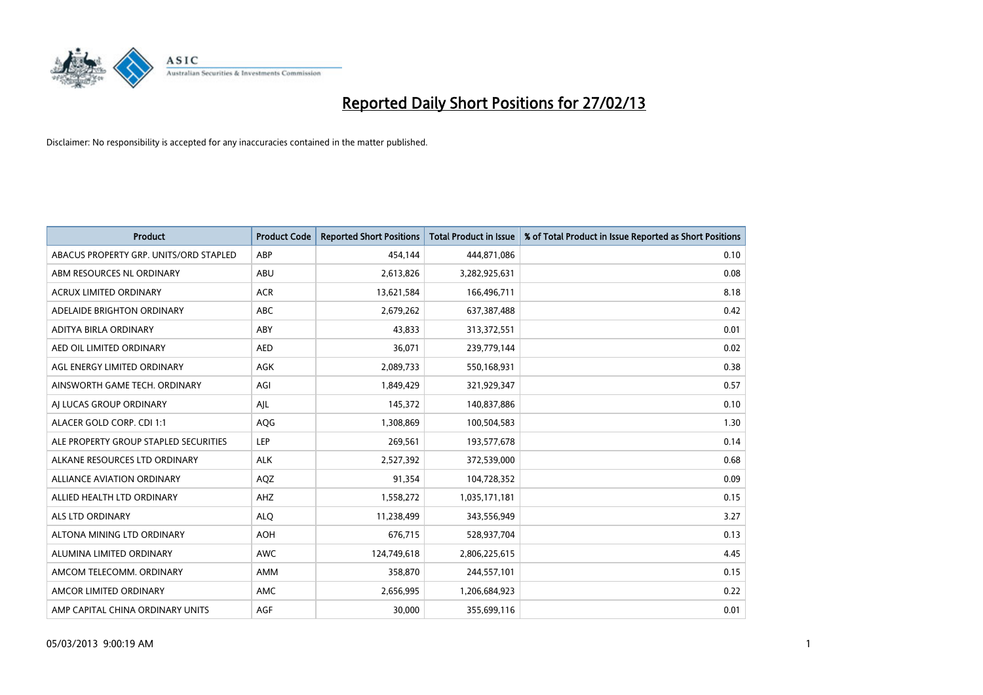

| <b>Product</b>                         | <b>Product Code</b> | <b>Reported Short Positions</b> | <b>Total Product in Issue</b> | % of Total Product in Issue Reported as Short Positions |
|----------------------------------------|---------------------|---------------------------------|-------------------------------|---------------------------------------------------------|
| ABACUS PROPERTY GRP. UNITS/ORD STAPLED | ABP                 | 454,144                         | 444,871,086                   | 0.10                                                    |
| ABM RESOURCES NL ORDINARY              | ABU                 | 2,613,826                       | 3,282,925,631                 | 0.08                                                    |
| <b>ACRUX LIMITED ORDINARY</b>          | <b>ACR</b>          | 13,621,584                      | 166,496,711                   | 8.18                                                    |
| ADELAIDE BRIGHTON ORDINARY             | <b>ABC</b>          | 2,679,262                       | 637, 387, 488                 | 0.42                                                    |
| ADITYA BIRLA ORDINARY                  | ABY                 | 43,833                          | 313,372,551                   | 0.01                                                    |
| AED OIL LIMITED ORDINARY               | <b>AED</b>          | 36,071                          | 239,779,144                   | 0.02                                                    |
| AGL ENERGY LIMITED ORDINARY            | <b>AGK</b>          | 2,089,733                       | 550,168,931                   | 0.38                                                    |
| AINSWORTH GAME TECH. ORDINARY          | AGI                 | 1,849,429                       | 321,929,347                   | 0.57                                                    |
| AI LUCAS GROUP ORDINARY                | AJL                 | 145,372                         | 140,837,886                   | 0.10                                                    |
| ALACER GOLD CORP. CDI 1:1              | AQG                 | 1,308,869                       | 100,504,583                   | 1.30                                                    |
| ALE PROPERTY GROUP STAPLED SECURITIES  | LEP                 | 269,561                         | 193,577,678                   | 0.14                                                    |
| ALKANE RESOURCES LTD ORDINARY          | <b>ALK</b>          | 2,527,392                       | 372,539,000                   | 0.68                                                    |
| <b>ALLIANCE AVIATION ORDINARY</b>      | AQZ                 | 91,354                          | 104,728,352                   | 0.09                                                    |
| ALLIED HEALTH LTD ORDINARY             | AHZ                 | 1,558,272                       | 1,035,171,181                 | 0.15                                                    |
| <b>ALS LTD ORDINARY</b>                | <b>ALQ</b>          | 11,238,499                      | 343,556,949                   | 3.27                                                    |
| ALTONA MINING LTD ORDINARY             | <b>AOH</b>          | 676,715                         | 528,937,704                   | 0.13                                                    |
| ALUMINA LIMITED ORDINARY               | <b>AWC</b>          | 124,749,618                     | 2,806,225,615                 | 4.45                                                    |
| AMCOM TELECOMM. ORDINARY               | <b>AMM</b>          | 358,870                         | 244,557,101                   | 0.15                                                    |
| AMCOR LIMITED ORDINARY                 | <b>AMC</b>          | 2,656,995                       | 1,206,684,923                 | 0.22                                                    |
| AMP CAPITAL CHINA ORDINARY UNITS       | <b>AGF</b>          | 30,000                          | 355,699,116                   | 0.01                                                    |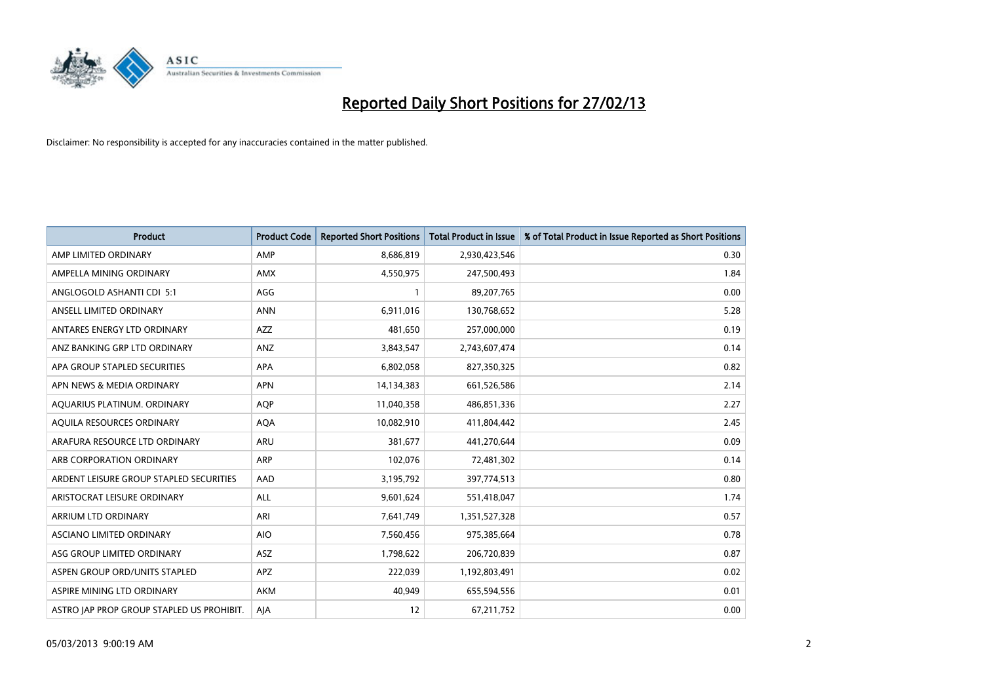

| <b>Product</b>                            | <b>Product Code</b> | <b>Reported Short Positions</b> | <b>Total Product in Issue</b> | % of Total Product in Issue Reported as Short Positions |
|-------------------------------------------|---------------------|---------------------------------|-------------------------------|---------------------------------------------------------|
| AMP LIMITED ORDINARY                      | AMP                 | 8,686,819                       | 2,930,423,546                 | 0.30                                                    |
| AMPELLA MINING ORDINARY                   | <b>AMX</b>          | 4,550,975                       | 247,500,493                   | 1.84                                                    |
| ANGLOGOLD ASHANTI CDI 5:1                 | AGG                 |                                 | 89,207,765                    | 0.00                                                    |
| ANSELL LIMITED ORDINARY                   | <b>ANN</b>          | 6,911,016                       | 130,768,652                   | 5.28                                                    |
| ANTARES ENERGY LTD ORDINARY               | <b>AZZ</b>          | 481,650                         | 257,000,000                   | 0.19                                                    |
| ANZ BANKING GRP LTD ORDINARY              | ANZ                 | 3,843,547                       | 2,743,607,474                 | 0.14                                                    |
| APA GROUP STAPLED SECURITIES              | <b>APA</b>          | 6,802,058                       | 827,350,325                   | 0.82                                                    |
| APN NEWS & MEDIA ORDINARY                 | <b>APN</b>          | 14,134,383                      | 661,526,586                   | 2.14                                                    |
| AQUARIUS PLATINUM. ORDINARY               | <b>AOP</b>          | 11,040,358                      | 486,851,336                   | 2.27                                                    |
| AQUILA RESOURCES ORDINARY                 | <b>AQA</b>          | 10,082,910                      | 411,804,442                   | 2.45                                                    |
| ARAFURA RESOURCE LTD ORDINARY             | <b>ARU</b>          | 381,677                         | 441,270,644                   | 0.09                                                    |
| ARB CORPORATION ORDINARY                  | <b>ARP</b>          | 102,076                         | 72,481,302                    | 0.14                                                    |
| ARDENT LEISURE GROUP STAPLED SECURITIES   | AAD                 | 3,195,792                       | 397,774,513                   | 0.80                                                    |
| ARISTOCRAT LEISURE ORDINARY               | ALL                 | 9,601,624                       | 551,418,047                   | 1.74                                                    |
| ARRIUM LTD ORDINARY                       | ARI                 | 7,641,749                       | 1,351,527,328                 | 0.57                                                    |
| ASCIANO LIMITED ORDINARY                  | <b>AIO</b>          | 7,560,456                       | 975,385,664                   | 0.78                                                    |
| ASG GROUP LIMITED ORDINARY                | <b>ASZ</b>          | 1,798,622                       | 206,720,839                   | 0.87                                                    |
| ASPEN GROUP ORD/UNITS STAPLED             | <b>APZ</b>          | 222,039                         | 1,192,803,491                 | 0.02                                                    |
| ASPIRE MINING LTD ORDINARY                | <b>AKM</b>          | 40,949                          | 655,594,556                   | 0.01                                                    |
| ASTRO JAP PROP GROUP STAPLED US PROHIBIT. | AJA                 | 12                              | 67,211,752                    | 0.00                                                    |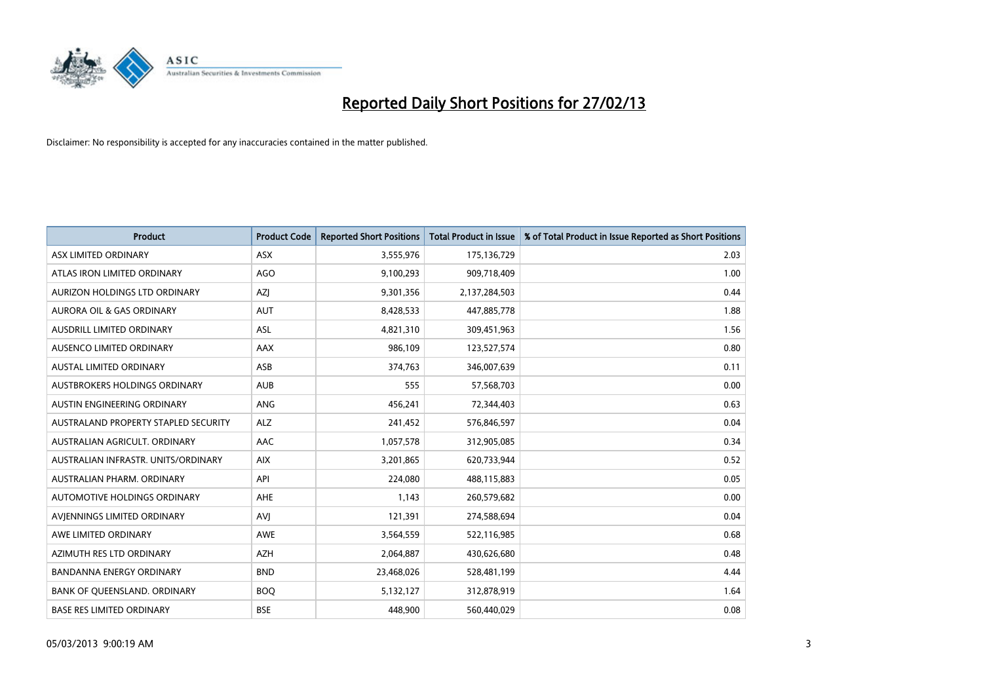

| <b>Product</b>                       | <b>Product Code</b> | <b>Reported Short Positions</b> | <b>Total Product in Issue</b> | % of Total Product in Issue Reported as Short Positions |
|--------------------------------------|---------------------|---------------------------------|-------------------------------|---------------------------------------------------------|
| ASX LIMITED ORDINARY                 | <b>ASX</b>          | 3,555,976                       | 175,136,729                   | 2.03                                                    |
| ATLAS IRON LIMITED ORDINARY          | <b>AGO</b>          | 9,100,293                       | 909,718,409                   | 1.00                                                    |
| AURIZON HOLDINGS LTD ORDINARY        | AZJ                 | 9,301,356                       | 2,137,284,503                 | 0.44                                                    |
| AURORA OIL & GAS ORDINARY            | <b>AUT</b>          | 8,428,533                       | 447,885,778                   | 1.88                                                    |
| <b>AUSDRILL LIMITED ORDINARY</b>     | ASL                 | 4,821,310                       | 309,451,963                   | 1.56                                                    |
| <b>AUSENCO LIMITED ORDINARY</b>      | <b>AAX</b>          | 986,109                         | 123,527,574                   | 0.80                                                    |
| AUSTAL LIMITED ORDINARY              | ASB                 | 374,763                         | 346,007,639                   | 0.11                                                    |
| AUSTBROKERS HOLDINGS ORDINARY        | <b>AUB</b>          | 555                             | 57,568,703                    | 0.00                                                    |
| AUSTIN ENGINEERING ORDINARY          | ANG                 | 456,241                         | 72,344,403                    | 0.63                                                    |
| AUSTRALAND PROPERTY STAPLED SECURITY | <b>ALZ</b>          | 241,452                         | 576,846,597                   | 0.04                                                    |
| AUSTRALIAN AGRICULT. ORDINARY        | AAC                 | 1,057,578                       | 312,905,085                   | 0.34                                                    |
| AUSTRALIAN INFRASTR, UNITS/ORDINARY  | <b>AIX</b>          | 3,201,865                       | 620,733,944                   | 0.52                                                    |
| AUSTRALIAN PHARM. ORDINARY           | API                 | 224,080                         | 488,115,883                   | 0.05                                                    |
| AUTOMOTIVE HOLDINGS ORDINARY         | <b>AHE</b>          | 1,143                           | 260,579,682                   | 0.00                                                    |
| AVIENNINGS LIMITED ORDINARY          | AVI                 | 121,391                         | 274,588,694                   | 0.04                                                    |
| AWE LIMITED ORDINARY                 | <b>AWE</b>          | 3,564,559                       | 522,116,985                   | 0.68                                                    |
| AZIMUTH RES LTD ORDINARY             | <b>AZH</b>          | 2,064,887                       | 430,626,680                   | 0.48                                                    |
| <b>BANDANNA ENERGY ORDINARY</b>      | <b>BND</b>          | 23,468,026                      | 528,481,199                   | 4.44                                                    |
| BANK OF QUEENSLAND. ORDINARY         | <b>BOQ</b>          | 5,132,127                       | 312,878,919                   | 1.64                                                    |
| <b>BASE RES LIMITED ORDINARY</b>     | <b>BSE</b>          | 448,900                         | 560,440,029                   | 0.08                                                    |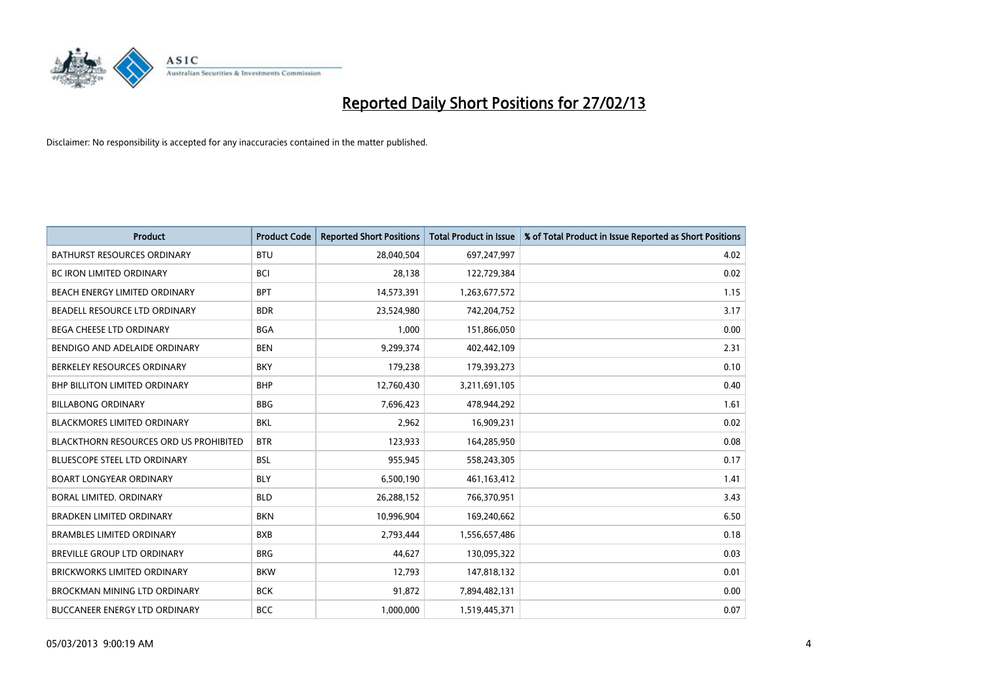

| <b>Product</b>                                | <b>Product Code</b> | <b>Reported Short Positions</b> | <b>Total Product in Issue</b> | % of Total Product in Issue Reported as Short Positions |
|-----------------------------------------------|---------------------|---------------------------------|-------------------------------|---------------------------------------------------------|
| <b>BATHURST RESOURCES ORDINARY</b>            | <b>BTU</b>          | 28,040,504                      | 697,247,997                   | 4.02                                                    |
| <b>BC IRON LIMITED ORDINARY</b>               | <b>BCI</b>          | 28,138                          | 122,729,384                   | 0.02                                                    |
| <b>BEACH ENERGY LIMITED ORDINARY</b>          | <b>BPT</b>          | 14,573,391                      | 1,263,677,572                 | 1.15                                                    |
| BEADELL RESOURCE LTD ORDINARY                 | <b>BDR</b>          | 23,524,980                      | 742,204,752                   | 3.17                                                    |
| BEGA CHEESE LTD ORDINARY                      | <b>BGA</b>          | 1.000                           | 151,866,050                   | 0.00                                                    |
| BENDIGO AND ADELAIDE ORDINARY                 | <b>BEN</b>          | 9,299,374                       | 402,442,109                   | 2.31                                                    |
| BERKELEY RESOURCES ORDINARY                   | <b>BKY</b>          | 179,238                         | 179,393,273                   | 0.10                                                    |
| <b>BHP BILLITON LIMITED ORDINARY</b>          | <b>BHP</b>          | 12,760,430                      | 3,211,691,105                 | 0.40                                                    |
| <b>BILLABONG ORDINARY</b>                     | <b>BBG</b>          | 7,696,423                       | 478,944,292                   | 1.61                                                    |
| <b>BLACKMORES LIMITED ORDINARY</b>            | <b>BKL</b>          | 2,962                           | 16,909,231                    | 0.02                                                    |
| <b>BLACKTHORN RESOURCES ORD US PROHIBITED</b> | <b>BTR</b>          | 123,933                         | 164,285,950                   | 0.08                                                    |
| <b>BLUESCOPE STEEL LTD ORDINARY</b>           | <b>BSL</b>          | 955,945                         | 558,243,305                   | 0.17                                                    |
| <b>BOART LONGYEAR ORDINARY</b>                | <b>BLY</b>          | 6,500,190                       | 461,163,412                   | 1.41                                                    |
| <b>BORAL LIMITED, ORDINARY</b>                | <b>BLD</b>          | 26,288,152                      | 766,370,951                   | 3.43                                                    |
| <b>BRADKEN LIMITED ORDINARY</b>               | <b>BKN</b>          | 10,996,904                      | 169,240,662                   | 6.50                                                    |
| <b>BRAMBLES LIMITED ORDINARY</b>              | <b>BXB</b>          | 2,793,444                       | 1,556,657,486                 | 0.18                                                    |
| <b>BREVILLE GROUP LTD ORDINARY</b>            | <b>BRG</b>          | 44,627                          | 130,095,322                   | 0.03                                                    |
| BRICKWORKS LIMITED ORDINARY                   | <b>BKW</b>          | 12,793                          | 147,818,132                   | 0.01                                                    |
| <b>BROCKMAN MINING LTD ORDINARY</b>           | <b>BCK</b>          | 91,872                          | 7,894,482,131                 | 0.00                                                    |
| <b>BUCCANEER ENERGY LTD ORDINARY</b>          | <b>BCC</b>          | 1,000,000                       | 1,519,445,371                 | 0.07                                                    |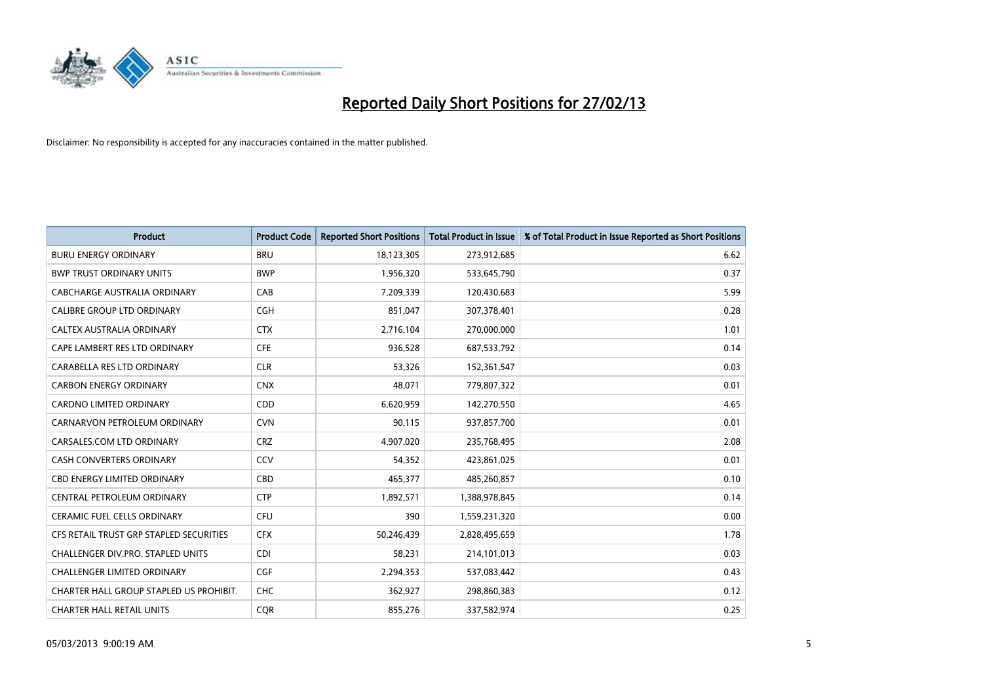

| <b>Product</b>                          | <b>Product Code</b> | <b>Reported Short Positions</b> | <b>Total Product in Issue</b> | % of Total Product in Issue Reported as Short Positions |
|-----------------------------------------|---------------------|---------------------------------|-------------------------------|---------------------------------------------------------|
| <b>BURU ENERGY ORDINARY</b>             | <b>BRU</b>          | 18,123,305                      | 273,912,685                   | 6.62                                                    |
| <b>BWP TRUST ORDINARY UNITS</b>         | <b>BWP</b>          | 1,956,320                       | 533,645,790                   | 0.37                                                    |
| CABCHARGE AUSTRALIA ORDINARY            | CAB                 | 7,209,339                       | 120,430,683                   | 5.99                                                    |
| CALIBRE GROUP LTD ORDINARY              | <b>CGH</b>          | 851,047                         | 307,378,401                   | 0.28                                                    |
| CALTEX AUSTRALIA ORDINARY               | <b>CTX</b>          | 2,716,104                       | 270,000,000                   | 1.01                                                    |
| CAPE LAMBERT RES LTD ORDINARY           | <b>CFE</b>          | 936,528                         | 687,533,792                   | 0.14                                                    |
| CARABELLA RES LTD ORDINARY              | <b>CLR</b>          | 53.326                          | 152,361,547                   | 0.03                                                    |
| <b>CARBON ENERGY ORDINARY</b>           | <b>CNX</b>          | 48.071                          | 779,807,322                   | 0.01                                                    |
| <b>CARDNO LIMITED ORDINARY</b>          | CDD                 | 6,620,959                       | 142,270,550                   | 4.65                                                    |
| CARNARVON PETROLEUM ORDINARY            | <b>CVN</b>          | 90,115                          | 937,857,700                   | 0.01                                                    |
| CARSALES.COM LTD ORDINARY               | <b>CRZ</b>          | 4,907,020                       | 235,768,495                   | 2.08                                                    |
| <b>CASH CONVERTERS ORDINARY</b>         | CCV                 | 54,352                          | 423,861,025                   | 0.01                                                    |
| <b>CBD ENERGY LIMITED ORDINARY</b>      | CBD                 | 465,377                         | 485,260,857                   | 0.10                                                    |
| CENTRAL PETROLEUM ORDINARY              | <b>CTP</b>          | 1,892,571                       | 1,388,978,845                 | 0.14                                                    |
| <b>CERAMIC FUEL CELLS ORDINARY</b>      | <b>CFU</b>          | 390                             | 1,559,231,320                 | 0.00                                                    |
| CFS RETAIL TRUST GRP STAPLED SECURITIES | <b>CFX</b>          | 50,246,439                      | 2,828,495,659                 | 1.78                                                    |
| CHALLENGER DIV.PRO. STAPLED UNITS       | <b>CDI</b>          | 58,231                          | 214,101,013                   | 0.03                                                    |
| <b>CHALLENGER LIMITED ORDINARY</b>      | <b>CGF</b>          | 2,294,353                       | 537,083,442                   | 0.43                                                    |
| CHARTER HALL GROUP STAPLED US PROHIBIT. | <b>CHC</b>          | 362,927                         | 298,860,383                   | 0.12                                                    |
| <b>CHARTER HALL RETAIL UNITS</b>        | <b>COR</b>          | 855.276                         | 337,582,974                   | 0.25                                                    |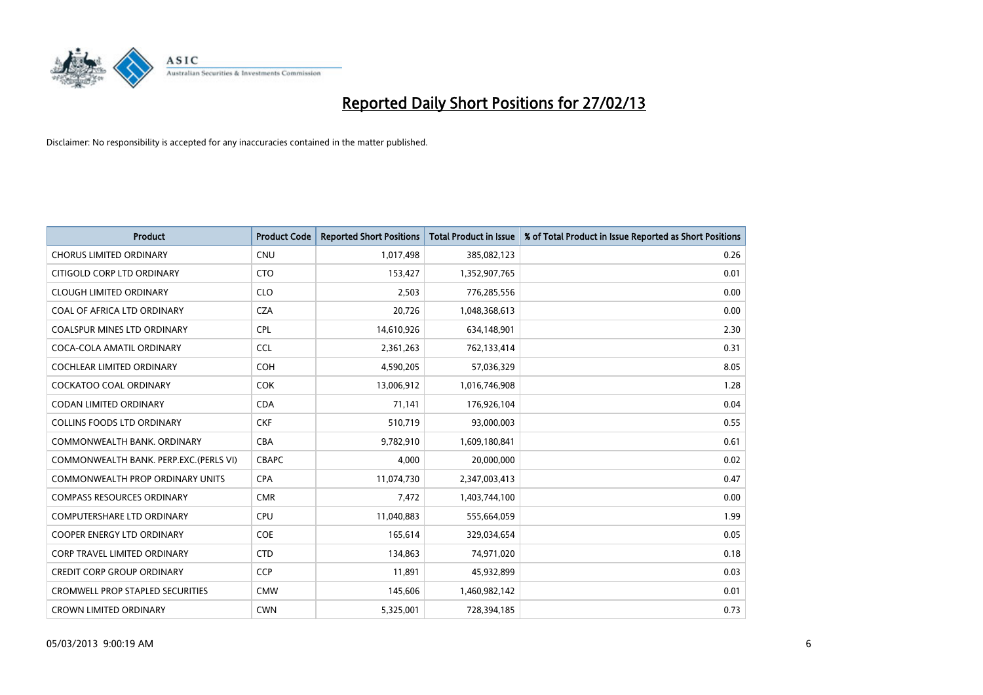

| <b>Product</b>                          | <b>Product Code</b> | <b>Reported Short Positions</b> | <b>Total Product in Issue</b> | % of Total Product in Issue Reported as Short Positions |
|-----------------------------------------|---------------------|---------------------------------|-------------------------------|---------------------------------------------------------|
| <b>CHORUS LIMITED ORDINARY</b>          | <b>CNU</b>          | 1,017,498                       | 385,082,123                   | 0.26                                                    |
| CITIGOLD CORP LTD ORDINARY              | <b>CTO</b>          | 153,427                         | 1,352,907,765                 | 0.01                                                    |
| <b>CLOUGH LIMITED ORDINARY</b>          | <b>CLO</b>          | 2,503                           | 776,285,556                   | 0.00                                                    |
| COAL OF AFRICA LTD ORDINARY             | <b>CZA</b>          | 20,726                          | 1,048,368,613                 | 0.00                                                    |
| <b>COALSPUR MINES LTD ORDINARY</b>      | <b>CPL</b>          | 14,610,926                      | 634,148,901                   | 2.30                                                    |
| COCA-COLA AMATIL ORDINARY               | <b>CCL</b>          | 2,361,263                       | 762,133,414                   | 0.31                                                    |
| <b>COCHLEAR LIMITED ORDINARY</b>        | <b>COH</b>          | 4,590,205                       | 57,036,329                    | 8.05                                                    |
| COCKATOO COAL ORDINARY                  | <b>COK</b>          | 13,006,912                      | 1,016,746,908                 | 1.28                                                    |
| <b>CODAN LIMITED ORDINARY</b>           | <b>CDA</b>          | 71,141                          | 176,926,104                   | 0.04                                                    |
| <b>COLLINS FOODS LTD ORDINARY</b>       | <b>CKF</b>          | 510,719                         | 93,000,003                    | 0.55                                                    |
| COMMONWEALTH BANK, ORDINARY             | <b>CBA</b>          | 9,782,910                       | 1,609,180,841                 | 0.61                                                    |
| COMMONWEALTH BANK, PERP.EXC.(PERLS VI)  | <b>CBAPC</b>        | 4,000                           | 20,000,000                    | 0.02                                                    |
| COMMONWEALTH PROP ORDINARY UNITS        | <b>CPA</b>          | 11,074,730                      | 2,347,003,413                 | 0.47                                                    |
| <b>COMPASS RESOURCES ORDINARY</b>       | <b>CMR</b>          | 7,472                           | 1,403,744,100                 | 0.00                                                    |
| <b>COMPUTERSHARE LTD ORDINARY</b>       | CPU                 | 11,040,883                      | 555,664,059                   | 1.99                                                    |
| COOPER ENERGY LTD ORDINARY              | <b>COE</b>          | 165,614                         | 329,034,654                   | 0.05                                                    |
| CORP TRAVEL LIMITED ORDINARY            | <b>CTD</b>          | 134,863                         | 74,971,020                    | 0.18                                                    |
| CREDIT CORP GROUP ORDINARY              | <b>CCP</b>          | 11,891                          | 45,932,899                    | 0.03                                                    |
| <b>CROMWELL PROP STAPLED SECURITIES</b> | <b>CMW</b>          | 145,606                         | 1,460,982,142                 | 0.01                                                    |
| <b>CROWN LIMITED ORDINARY</b>           | <b>CWN</b>          | 5,325,001                       | 728,394,185                   | 0.73                                                    |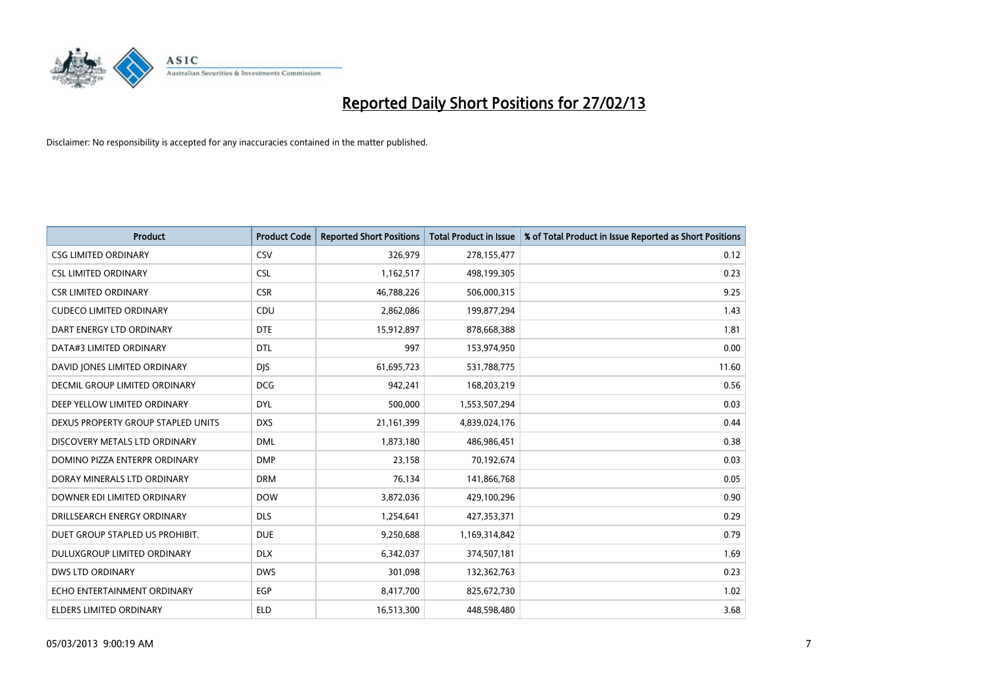

| <b>Product</b>                     | <b>Product Code</b> | <b>Reported Short Positions</b> | <b>Total Product in Issue</b> | % of Total Product in Issue Reported as Short Positions |
|------------------------------------|---------------------|---------------------------------|-------------------------------|---------------------------------------------------------|
| <b>CSG LIMITED ORDINARY</b>        | CSV                 | 326,979                         | 278,155,477                   | 0.12                                                    |
| <b>CSL LIMITED ORDINARY</b>        | <b>CSL</b>          | 1,162,517                       | 498,199,305                   | 0.23                                                    |
| <b>CSR LIMITED ORDINARY</b>        | <b>CSR</b>          | 46,788,226                      | 506,000,315                   | 9.25                                                    |
| <b>CUDECO LIMITED ORDINARY</b>     | CDU                 | 2,862,086                       | 199,877,294                   | 1.43                                                    |
| DART ENERGY LTD ORDINARY           | <b>DTE</b>          | 15,912,897                      | 878,668,388                   | 1.81                                                    |
| DATA#3 LIMITED ORDINARY            | <b>DTL</b>          | 997                             | 153,974,950                   | 0.00                                                    |
| DAVID JONES LIMITED ORDINARY       | <b>DIS</b>          | 61,695,723                      | 531,788,775                   | 11.60                                                   |
| DECMIL GROUP LIMITED ORDINARY      | <b>DCG</b>          | 942,241                         | 168,203,219                   | 0.56                                                    |
| DEEP YELLOW LIMITED ORDINARY       | <b>DYL</b>          | 500,000                         | 1,553,507,294                 | 0.03                                                    |
| DEXUS PROPERTY GROUP STAPLED UNITS | <b>DXS</b>          | 21,161,399                      | 4,839,024,176                 | 0.44                                                    |
| DISCOVERY METALS LTD ORDINARY      | <b>DML</b>          | 1,873,180                       | 486,986,451                   | 0.38                                                    |
| DOMINO PIZZA ENTERPR ORDINARY      | <b>DMP</b>          | 23,158                          | 70,192,674                    | 0.03                                                    |
| DORAY MINERALS LTD ORDINARY        | <b>DRM</b>          | 76,134                          | 141,866,768                   | 0.05                                                    |
| DOWNER EDI LIMITED ORDINARY        | <b>DOW</b>          | 3,872,036                       | 429,100,296                   | 0.90                                                    |
| DRILLSEARCH ENERGY ORDINARY        | <b>DLS</b>          | 1,254,641                       | 427,353,371                   | 0.29                                                    |
| DUET GROUP STAPLED US PROHIBIT.    | <b>DUE</b>          | 9,250,688                       | 1,169,314,842                 | 0.79                                                    |
| DULUXGROUP LIMITED ORDINARY        | <b>DLX</b>          | 6,342,037                       | 374,507,181                   | 1.69                                                    |
| <b>DWS LTD ORDINARY</b>            | <b>DWS</b>          | 301,098                         | 132,362,763                   | 0.23                                                    |
| ECHO ENTERTAINMENT ORDINARY        | <b>EGP</b>          | 8,417,700                       | 825,672,730                   | 1.02                                                    |
| ELDERS LIMITED ORDINARY            | <b>ELD</b>          | 16,513,300                      | 448,598,480                   | 3.68                                                    |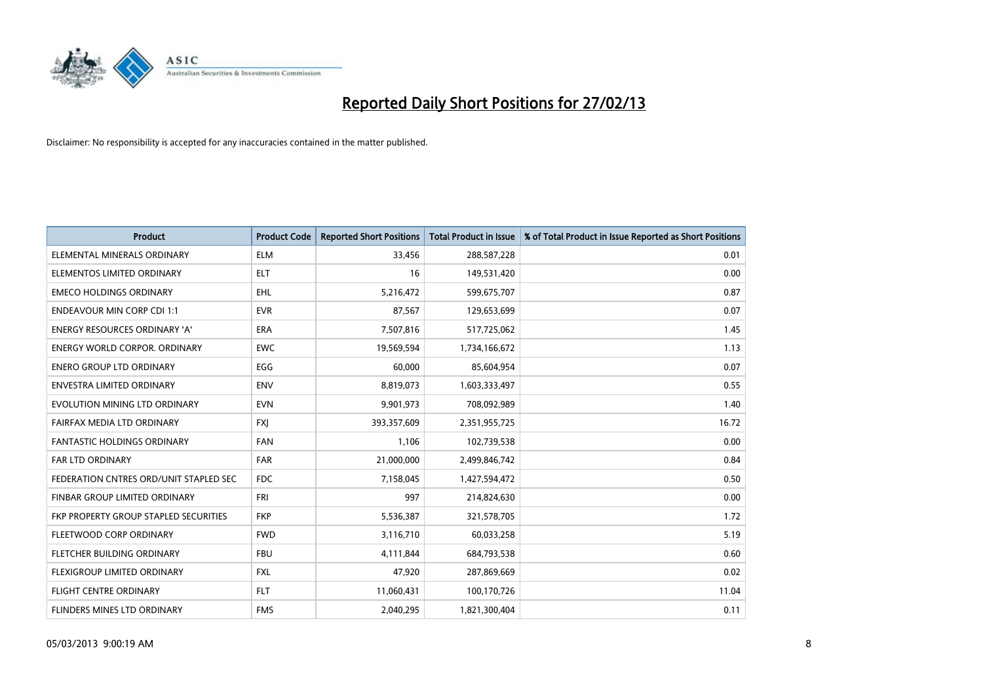

| <b>Product</b>                         | <b>Product Code</b> | <b>Reported Short Positions</b> | <b>Total Product in Issue</b> | % of Total Product in Issue Reported as Short Positions |
|----------------------------------------|---------------------|---------------------------------|-------------------------------|---------------------------------------------------------|
| ELEMENTAL MINERALS ORDINARY            | <b>ELM</b>          | 33,456                          | 288,587,228                   | 0.01                                                    |
| ELEMENTOS LIMITED ORDINARY             | <b>ELT</b>          | 16                              | 149,531,420                   | 0.00                                                    |
| <b>EMECO HOLDINGS ORDINARY</b>         | <b>EHL</b>          | 5,216,472                       | 599,675,707                   | 0.87                                                    |
| <b>ENDEAVOUR MIN CORP CDI 1:1</b>      | <b>EVR</b>          | 87,567                          | 129,653,699                   | 0.07                                                    |
| <b>ENERGY RESOURCES ORDINARY 'A'</b>   | <b>ERA</b>          | 7,507,816                       | 517,725,062                   | 1.45                                                    |
| <b>ENERGY WORLD CORPOR, ORDINARY</b>   | <b>EWC</b>          | 19,569,594                      | 1,734,166,672                 | 1.13                                                    |
| <b>ENERO GROUP LTD ORDINARY</b>        | EGG                 | 60,000                          | 85,604,954                    | 0.07                                                    |
| ENVESTRA LIMITED ORDINARY              | <b>ENV</b>          | 8,819,073                       | 1,603,333,497                 | 0.55                                                    |
| EVOLUTION MINING LTD ORDINARY          | <b>EVN</b>          | 9,901,973                       | 708,092,989                   | 1.40                                                    |
| FAIRFAX MEDIA LTD ORDINARY             | <b>FXI</b>          | 393,357,609                     | 2,351,955,725                 | 16.72                                                   |
| FANTASTIC HOLDINGS ORDINARY            | <b>FAN</b>          | 1,106                           | 102,739,538                   | 0.00                                                    |
| <b>FAR LTD ORDINARY</b>                | <b>FAR</b>          | 21,000,000                      | 2,499,846,742                 | 0.84                                                    |
| FEDERATION CNTRES ORD/UNIT STAPLED SEC | <b>FDC</b>          | 7,158,045                       | 1,427,594,472                 | 0.50                                                    |
| <b>FINBAR GROUP LIMITED ORDINARY</b>   | <b>FRI</b>          | 997                             | 214,824,630                   | 0.00                                                    |
| FKP PROPERTY GROUP STAPLED SECURITIES  | <b>FKP</b>          | 5,536,387                       | 321,578,705                   | 1.72                                                    |
| FLEETWOOD CORP ORDINARY                | <b>FWD</b>          | 3,116,710                       | 60,033,258                    | 5.19                                                    |
| FLETCHER BUILDING ORDINARY             | <b>FBU</b>          | 4,111,844                       | 684,793,538                   | 0.60                                                    |
| FLEXIGROUP LIMITED ORDINARY            | <b>FXL</b>          | 47,920                          | 287,869,669                   | 0.02                                                    |
| FLIGHT CENTRE ORDINARY                 | <b>FLT</b>          | 11,060,431                      | 100,170,726                   | 11.04                                                   |
| FLINDERS MINES LTD ORDINARY            | <b>FMS</b>          | 2,040,295                       | 1,821,300,404                 | 0.11                                                    |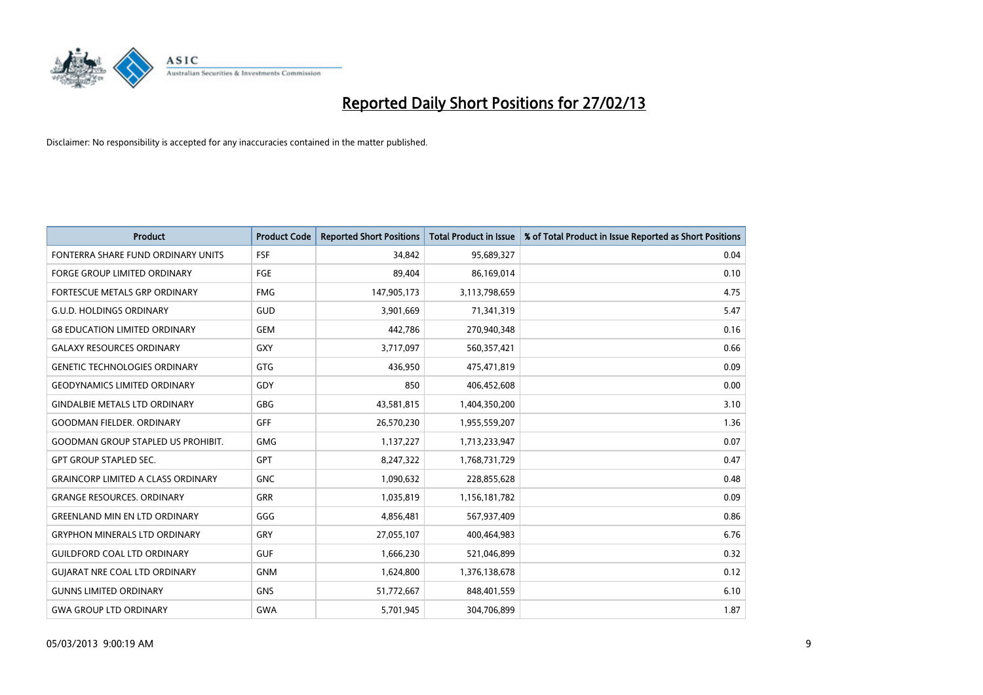

| <b>Product</b>                            | <b>Product Code</b> | <b>Reported Short Positions</b> | <b>Total Product in Issue</b> | % of Total Product in Issue Reported as Short Positions |
|-------------------------------------------|---------------------|---------------------------------|-------------------------------|---------------------------------------------------------|
| FONTERRA SHARE FUND ORDINARY UNITS        | FSF                 | 34,842                          | 95,689,327                    | 0.04                                                    |
| FORGE GROUP LIMITED ORDINARY              | FGE                 | 89,404                          | 86,169,014                    | 0.10                                                    |
| <b>FORTESCUE METALS GRP ORDINARY</b>      | <b>FMG</b>          | 147,905,173                     | 3,113,798,659                 | 4.75                                                    |
| <b>G.U.D. HOLDINGS ORDINARY</b>           | <b>GUD</b>          | 3,901,669                       | 71,341,319                    | 5.47                                                    |
| <b>G8 EDUCATION LIMITED ORDINARY</b>      | <b>GEM</b>          | 442,786                         | 270,940,348                   | 0.16                                                    |
| <b>GALAXY RESOURCES ORDINARY</b>          | <b>GXY</b>          | 3,717,097                       | 560,357,421                   | 0.66                                                    |
| <b>GENETIC TECHNOLOGIES ORDINARY</b>      | <b>GTG</b>          | 436,950                         | 475,471,819                   | 0.09                                                    |
| <b>GEODYNAMICS LIMITED ORDINARY</b>       | GDY                 | 850                             | 406,452,608                   | 0.00                                                    |
| <b>GINDALBIE METALS LTD ORDINARY</b>      | <b>GBG</b>          | 43,581,815                      | 1,404,350,200                 | 3.10                                                    |
| <b>GOODMAN FIELDER, ORDINARY</b>          | <b>GFF</b>          | 26,570,230                      | 1,955,559,207                 | 1.36                                                    |
| <b>GOODMAN GROUP STAPLED US PROHIBIT.</b> | <b>GMG</b>          | 1,137,227                       | 1,713,233,947                 | 0.07                                                    |
| <b>GPT GROUP STAPLED SEC.</b>             | <b>GPT</b>          | 8,247,322                       | 1,768,731,729                 | 0.47                                                    |
| <b>GRAINCORP LIMITED A CLASS ORDINARY</b> | <b>GNC</b>          | 1,090,632                       | 228,855,628                   | 0.48                                                    |
| <b>GRANGE RESOURCES, ORDINARY</b>         | <b>GRR</b>          | 1,035,819                       | 1,156,181,782                 | 0.09                                                    |
| <b>GREENLAND MIN EN LTD ORDINARY</b>      | GGG                 | 4,856,481                       | 567,937,409                   | 0.86                                                    |
| <b>GRYPHON MINERALS LTD ORDINARY</b>      | GRY                 | 27,055,107                      | 400,464,983                   | 6.76                                                    |
| <b>GUILDFORD COAL LTD ORDINARY</b>        | <b>GUF</b>          | 1,666,230                       | 521,046,899                   | 0.32                                                    |
| <b>GUIARAT NRE COAL LTD ORDINARY</b>      | <b>GNM</b>          | 1,624,800                       | 1,376,138,678                 | 0.12                                                    |
| <b>GUNNS LIMITED ORDINARY</b>             | <b>GNS</b>          | 51,772,667                      | 848,401,559                   | 6.10                                                    |
| <b>GWA GROUP LTD ORDINARY</b>             | <b>GWA</b>          | 5,701,945                       | 304,706,899                   | 1.87                                                    |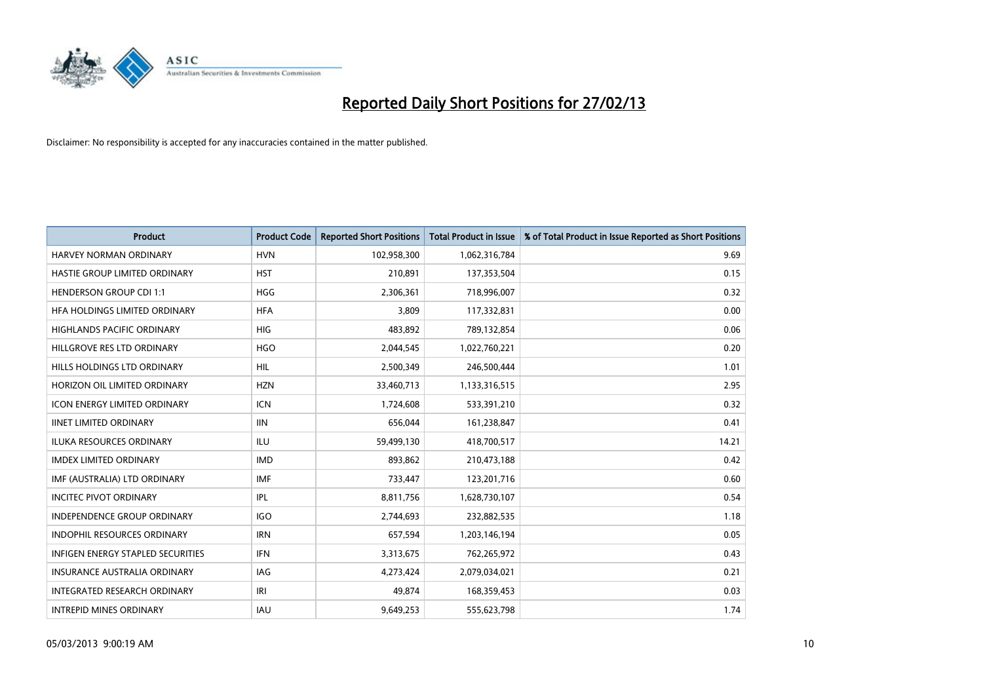

| <b>Product</b>                           | <b>Product Code</b> | <b>Reported Short Positions</b> | <b>Total Product in Issue</b> | % of Total Product in Issue Reported as Short Positions |
|------------------------------------------|---------------------|---------------------------------|-------------------------------|---------------------------------------------------------|
| <b>HARVEY NORMAN ORDINARY</b>            | <b>HVN</b>          | 102,958,300                     | 1,062,316,784                 | 9.69                                                    |
| HASTIE GROUP LIMITED ORDINARY            | <b>HST</b>          | 210,891                         | 137,353,504                   | 0.15                                                    |
| <b>HENDERSON GROUP CDI 1:1</b>           | <b>HGG</b>          | 2,306,361                       | 718,996,007                   | 0.32                                                    |
| HFA HOLDINGS LIMITED ORDINARY            | <b>HFA</b>          | 3,809                           | 117,332,831                   | 0.00                                                    |
| <b>HIGHLANDS PACIFIC ORDINARY</b>        | <b>HIG</b>          | 483.892                         | 789,132,854                   | 0.06                                                    |
| HILLGROVE RES LTD ORDINARY               | <b>HGO</b>          | 2,044,545                       | 1,022,760,221                 | 0.20                                                    |
| HILLS HOLDINGS LTD ORDINARY              | <b>HIL</b>          | 2,500,349                       | 246,500,444                   | 1.01                                                    |
| HORIZON OIL LIMITED ORDINARY             | <b>HZN</b>          | 33,460,713                      | 1,133,316,515                 | 2.95                                                    |
| <b>ICON ENERGY LIMITED ORDINARY</b>      | <b>ICN</b>          | 1,724,608                       | 533,391,210                   | 0.32                                                    |
| <b>IINET LIMITED ORDINARY</b>            | <b>IIN</b>          | 656,044                         | 161,238,847                   | 0.41                                                    |
| <b>ILUKA RESOURCES ORDINARY</b>          | ILU                 | 59,499,130                      | 418,700,517                   | 14.21                                                   |
| <b>IMDEX LIMITED ORDINARY</b>            | <b>IMD</b>          | 893,862                         | 210,473,188                   | 0.42                                                    |
| IMF (AUSTRALIA) LTD ORDINARY             | <b>IMF</b>          | 733,447                         | 123,201,716                   | 0.60                                                    |
| <b>INCITEC PIVOT ORDINARY</b>            | IPL                 | 8,811,756                       | 1,628,730,107                 | 0.54                                                    |
| <b>INDEPENDENCE GROUP ORDINARY</b>       | <b>IGO</b>          | 2,744,693                       | 232,882,535                   | 1.18                                                    |
| <b>INDOPHIL RESOURCES ORDINARY</b>       | <b>IRN</b>          | 657,594                         | 1,203,146,194                 | 0.05                                                    |
| <b>INFIGEN ENERGY STAPLED SECURITIES</b> | <b>IFN</b>          | 3,313,675                       | 762,265,972                   | 0.43                                                    |
| INSURANCE AUSTRALIA ORDINARY             | IAG                 | 4,273,424                       | 2,079,034,021                 | 0.21                                                    |
| <b>INTEGRATED RESEARCH ORDINARY</b>      | IRI                 | 49.874                          | 168,359,453                   | 0.03                                                    |
| <b>INTREPID MINES ORDINARY</b>           | <b>IAU</b>          | 9,649,253                       | 555,623,798                   | 1.74                                                    |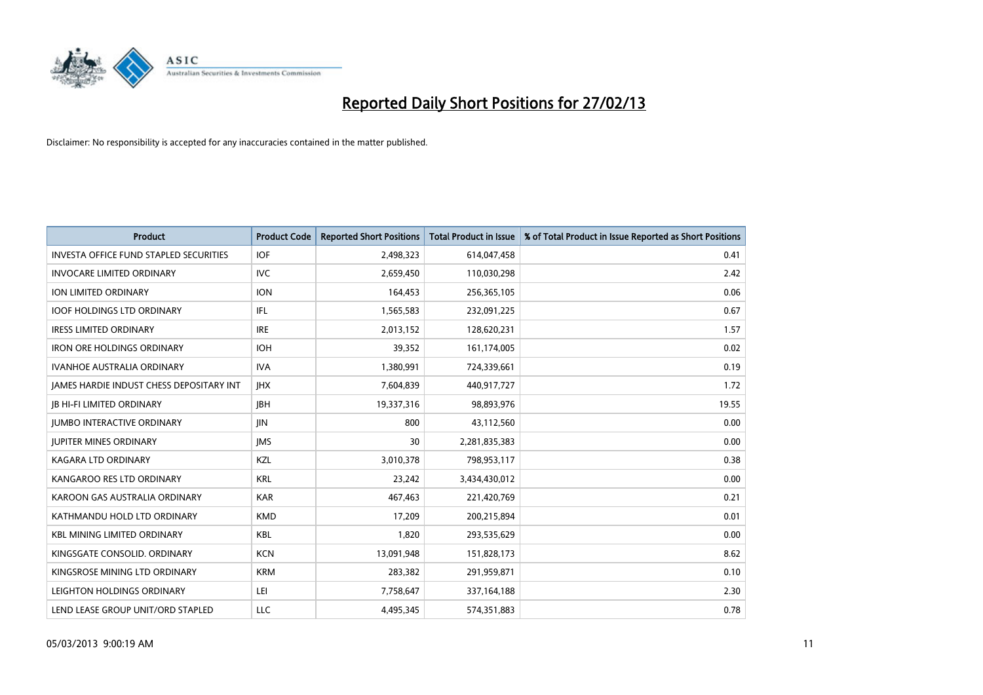

| <b>Product</b>                                  | <b>Product Code</b> | <b>Reported Short Positions</b> | <b>Total Product in Issue</b> | % of Total Product in Issue Reported as Short Positions |
|-------------------------------------------------|---------------------|---------------------------------|-------------------------------|---------------------------------------------------------|
| <b>INVESTA OFFICE FUND STAPLED SECURITIES</b>   | <b>IOF</b>          | 2,498,323                       | 614,047,458                   | 0.41                                                    |
| <b>INVOCARE LIMITED ORDINARY</b>                | IVC                 | 2,659,450                       | 110,030,298                   | 2.42                                                    |
| ION LIMITED ORDINARY                            | <b>ION</b>          | 164,453                         | 256,365,105                   | 0.06                                                    |
| <b>IOOF HOLDINGS LTD ORDINARY</b>               | IFL.                | 1,565,583                       | 232,091,225                   | 0.67                                                    |
| <b>IRESS LIMITED ORDINARY</b>                   | <b>IRE</b>          | 2,013,152                       | 128,620,231                   | 1.57                                                    |
| <b>IRON ORE HOLDINGS ORDINARY</b>               | <b>IOH</b>          | 39,352                          | 161,174,005                   | 0.02                                                    |
| <b>IVANHOE AUSTRALIA ORDINARY</b>               | <b>IVA</b>          | 1,380,991                       | 724,339,661                   | 0.19                                                    |
| <b>JAMES HARDIE INDUST CHESS DEPOSITARY INT</b> | <b>IHX</b>          | 7,604,839                       | 440,917,727                   | 1.72                                                    |
| <b>IB HI-FI LIMITED ORDINARY</b>                | <b>IBH</b>          | 19,337,316                      | 98,893,976                    | 19.55                                                   |
| <b>IUMBO INTERACTIVE ORDINARY</b>               | <b>JIN</b>          | 800                             | 43,112,560                    | 0.00                                                    |
| <b>JUPITER MINES ORDINARY</b>                   | <b>IMS</b>          | 30                              | 2,281,835,383                 | 0.00                                                    |
| <b>KAGARA LTD ORDINARY</b>                      | <b>KZL</b>          | 3,010,378                       | 798,953,117                   | 0.38                                                    |
| KANGAROO RES LTD ORDINARY                       | <b>KRL</b>          | 23,242                          | 3,434,430,012                 | 0.00                                                    |
| KAROON GAS AUSTRALIA ORDINARY                   | <b>KAR</b>          | 467.463                         | 221,420,769                   | 0.21                                                    |
| KATHMANDU HOLD LTD ORDINARY                     | <b>KMD</b>          | 17,209                          | 200,215,894                   | 0.01                                                    |
| <b>KBL MINING LIMITED ORDINARY</b>              | <b>KBL</b>          | 1,820                           | 293,535,629                   | 0.00                                                    |
| KINGSGATE CONSOLID. ORDINARY                    | <b>KCN</b>          | 13,091,948                      | 151,828,173                   | 8.62                                                    |
| KINGSROSE MINING LTD ORDINARY                   | <b>KRM</b>          | 283,382                         | 291,959,871                   | 0.10                                                    |
| LEIGHTON HOLDINGS ORDINARY                      | LEI                 | 7,758,647                       | 337, 164, 188                 | 2.30                                                    |
| LEND LEASE GROUP UNIT/ORD STAPLED               | LLC                 | 4,495,345                       | 574,351,883                   | 0.78                                                    |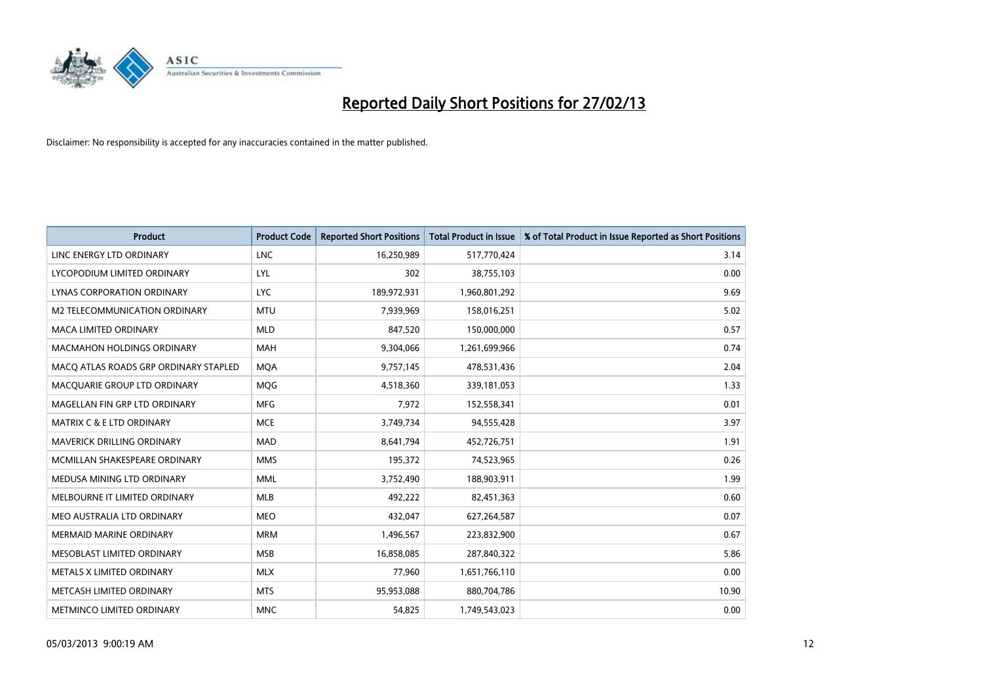

| <b>Product</b>                        | <b>Product Code</b> | <b>Reported Short Positions</b> | <b>Total Product in Issue</b> | % of Total Product in Issue Reported as Short Positions |
|---------------------------------------|---------------------|---------------------------------|-------------------------------|---------------------------------------------------------|
| LINC ENERGY LTD ORDINARY              | <b>LNC</b>          | 16,250,989                      | 517,770,424                   | 3.14                                                    |
| LYCOPODIUM LIMITED ORDINARY           | LYL                 | 302                             | 38,755,103                    | 0.00                                                    |
| LYNAS CORPORATION ORDINARY            | LYC.                | 189,972,931                     | 1,960,801,292                 | 9.69                                                    |
| M2 TELECOMMUNICATION ORDINARY         | <b>MTU</b>          | 7,939,969                       | 158,016,251                   | 5.02                                                    |
| <b>MACA LIMITED ORDINARY</b>          | <b>MLD</b>          | 847,520                         | 150,000,000                   | 0.57                                                    |
| <b>MACMAHON HOLDINGS ORDINARY</b>     | <b>MAH</b>          | 9,304,066                       | 1,261,699,966                 | 0.74                                                    |
| MACO ATLAS ROADS GRP ORDINARY STAPLED | <b>MOA</b>          | 9,757,145                       | 478,531,436                   | 2.04                                                    |
| MACQUARIE GROUP LTD ORDINARY          | <b>MOG</b>          | 4,518,360                       | 339,181,053                   | 1.33                                                    |
| MAGELLAN FIN GRP LTD ORDINARY         | <b>MFG</b>          | 7,972                           | 152,558,341                   | 0.01                                                    |
| <b>MATRIX C &amp; E LTD ORDINARY</b>  | <b>MCE</b>          | 3,749,734                       | 94,555,428                    | 3.97                                                    |
| MAVERICK DRILLING ORDINARY            | <b>MAD</b>          | 8,641,794                       | 452,726,751                   | 1.91                                                    |
| MCMILLAN SHAKESPEARE ORDINARY         | <b>MMS</b>          | 195,372                         | 74,523,965                    | 0.26                                                    |
| MEDUSA MINING LTD ORDINARY            | <b>MML</b>          | 3,752,490                       | 188,903,911                   | 1.99                                                    |
| MELBOURNE IT LIMITED ORDINARY         | <b>MLB</b>          | 492,222                         | 82,451,363                    | 0.60                                                    |
| MEO AUSTRALIA LTD ORDINARY            | <b>MEO</b>          | 432,047                         | 627,264,587                   | 0.07                                                    |
| <b>MERMAID MARINE ORDINARY</b>        | <b>MRM</b>          | 1,496,567                       | 223,832,900                   | 0.67                                                    |
| MESOBLAST LIMITED ORDINARY            | <b>MSB</b>          | 16,858,085                      | 287,840,322                   | 5.86                                                    |
| METALS X LIMITED ORDINARY             | <b>MLX</b>          | 77,960                          | 1,651,766,110                 | 0.00                                                    |
| METCASH LIMITED ORDINARY              | <b>MTS</b>          | 95,953,088                      | 880,704,786                   | 10.90                                                   |
| METMINCO LIMITED ORDINARY             | <b>MNC</b>          | 54,825                          | 1,749,543,023                 | 0.00                                                    |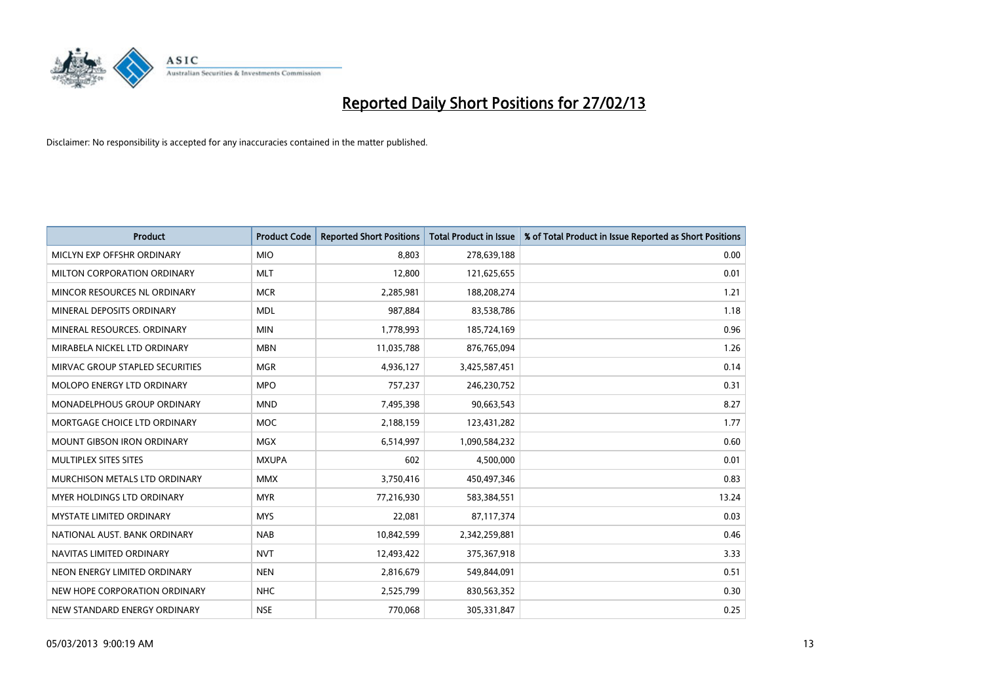

| <b>Product</b>                    | <b>Product Code</b> | <b>Reported Short Positions</b> | <b>Total Product in Issue</b> | % of Total Product in Issue Reported as Short Positions |
|-----------------------------------|---------------------|---------------------------------|-------------------------------|---------------------------------------------------------|
| MICLYN EXP OFFSHR ORDINARY        | <b>MIO</b>          | 8.803                           | 278,639,188                   | 0.00                                                    |
| MILTON CORPORATION ORDINARY       | <b>MLT</b>          | 12,800                          | 121,625,655                   | 0.01                                                    |
| MINCOR RESOURCES NL ORDINARY      | <b>MCR</b>          | 2,285,981                       | 188,208,274                   | 1.21                                                    |
| MINERAL DEPOSITS ORDINARY         | <b>MDL</b>          | 987,884                         | 83,538,786                    | 1.18                                                    |
| MINERAL RESOURCES, ORDINARY       | <b>MIN</b>          | 1,778,993                       | 185,724,169                   | 0.96                                                    |
| MIRABELA NICKEL LTD ORDINARY      | <b>MBN</b>          | 11,035,788                      | 876,765,094                   | 1.26                                                    |
| MIRVAC GROUP STAPLED SECURITIES   | <b>MGR</b>          | 4,936,127                       | 3,425,587,451                 | 0.14                                                    |
| MOLOPO ENERGY LTD ORDINARY        | <b>MPO</b>          | 757,237                         | 246,230,752                   | 0.31                                                    |
| MONADELPHOUS GROUP ORDINARY       | <b>MND</b>          | 7,495,398                       | 90,663,543                    | 8.27                                                    |
| MORTGAGE CHOICE LTD ORDINARY      | <b>MOC</b>          | 2,188,159                       | 123,431,282                   | 1.77                                                    |
| MOUNT GIBSON IRON ORDINARY        | <b>MGX</b>          | 6,514,997                       | 1,090,584,232                 | 0.60                                                    |
| MULTIPLEX SITES SITES             | <b>MXUPA</b>        | 602                             | 4,500,000                     | 0.01                                                    |
| MURCHISON METALS LTD ORDINARY     | <b>MMX</b>          | 3,750,416                       | 450,497,346                   | 0.83                                                    |
| <b>MYER HOLDINGS LTD ORDINARY</b> | <b>MYR</b>          | 77,216,930                      | 583,384,551                   | 13.24                                                   |
| <b>MYSTATE LIMITED ORDINARY</b>   | <b>MYS</b>          | 22,081                          | 87,117,374                    | 0.03                                                    |
| NATIONAL AUST. BANK ORDINARY      | <b>NAB</b>          | 10,842,599                      | 2,342,259,881                 | 0.46                                                    |
| NAVITAS LIMITED ORDINARY          | <b>NVT</b>          | 12,493,422                      | 375,367,918                   | 3.33                                                    |
| NEON ENERGY LIMITED ORDINARY      | <b>NEN</b>          | 2,816,679                       | 549,844,091                   | 0.51                                                    |
| NEW HOPE CORPORATION ORDINARY     | NHC                 | 2,525,799                       | 830,563,352                   | 0.30                                                    |
| NEW STANDARD ENERGY ORDINARY      | <b>NSE</b>          | 770,068                         | 305,331,847                   | 0.25                                                    |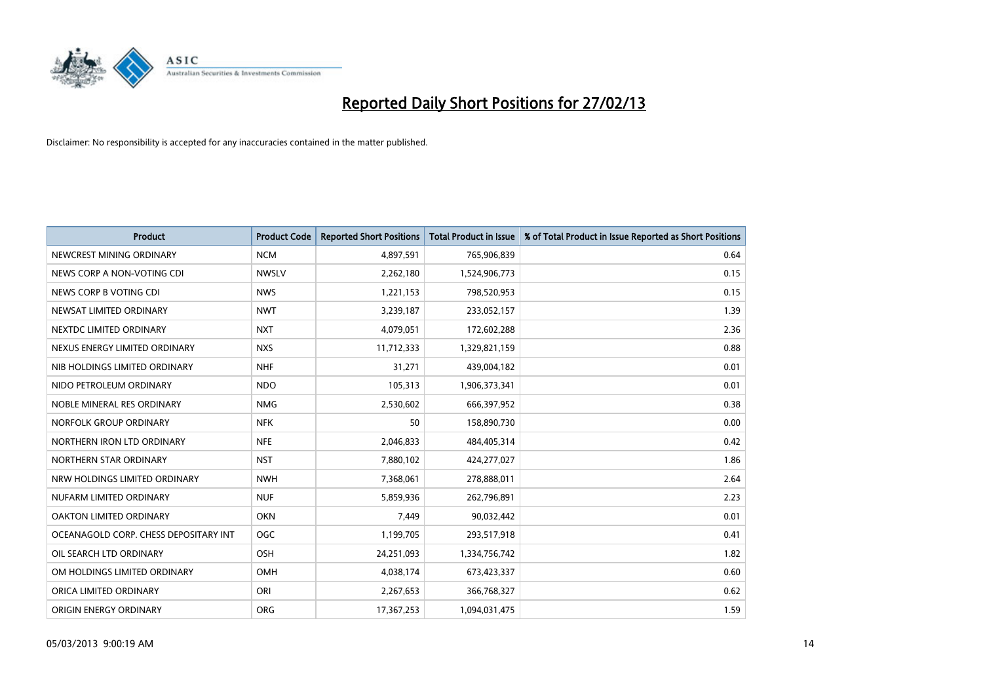

| <b>Product</b>                        | <b>Product Code</b> | <b>Reported Short Positions</b> | <b>Total Product in Issue</b> | % of Total Product in Issue Reported as Short Positions |
|---------------------------------------|---------------------|---------------------------------|-------------------------------|---------------------------------------------------------|
| NEWCREST MINING ORDINARY              | <b>NCM</b>          | 4,897,591                       | 765,906,839                   | 0.64                                                    |
| NEWS CORP A NON-VOTING CDI            | <b>NWSLV</b>        | 2,262,180                       | 1,524,906,773                 | 0.15                                                    |
| NEWS CORP B VOTING CDI                | <b>NWS</b>          | 1,221,153                       | 798,520,953                   | 0.15                                                    |
| NEWSAT LIMITED ORDINARY               | <b>NWT</b>          | 3,239,187                       | 233,052,157                   | 1.39                                                    |
| NEXTDC LIMITED ORDINARY               | <b>NXT</b>          | 4,079,051                       | 172,602,288                   | 2.36                                                    |
| NEXUS ENERGY LIMITED ORDINARY         | <b>NXS</b>          | 11,712,333                      | 1,329,821,159                 | 0.88                                                    |
| NIB HOLDINGS LIMITED ORDINARY         | <b>NHF</b>          | 31.271                          | 439,004,182                   | 0.01                                                    |
| NIDO PETROLEUM ORDINARY               | <b>NDO</b>          | 105,313                         | 1,906,373,341                 | 0.01                                                    |
| NOBLE MINERAL RES ORDINARY            | <b>NMG</b>          | 2,530,602                       | 666,397,952                   | 0.38                                                    |
| NORFOLK GROUP ORDINARY                | <b>NFK</b>          | 50                              | 158,890,730                   | 0.00                                                    |
| NORTHERN IRON LTD ORDINARY            | <b>NFE</b>          | 2,046,833                       | 484,405,314                   | 0.42                                                    |
| NORTHERN STAR ORDINARY                | <b>NST</b>          | 7,880,102                       | 424,277,027                   | 1.86                                                    |
| NRW HOLDINGS LIMITED ORDINARY         | <b>NWH</b>          | 7,368,061                       | 278,888,011                   | 2.64                                                    |
| NUFARM LIMITED ORDINARY               | <b>NUF</b>          | 5,859,936                       | 262,796,891                   | 2.23                                                    |
| <b>OAKTON LIMITED ORDINARY</b>        | <b>OKN</b>          | 7,449                           | 90,032,442                    | 0.01                                                    |
| OCEANAGOLD CORP. CHESS DEPOSITARY INT | <b>OGC</b>          | 1,199,705                       | 293,517,918                   | 0.41                                                    |
| OIL SEARCH LTD ORDINARY               | OSH                 | 24,251,093                      | 1,334,756,742                 | 1.82                                                    |
| OM HOLDINGS LIMITED ORDINARY          | OMH                 | 4,038,174                       | 673,423,337                   | 0.60                                                    |
| ORICA LIMITED ORDINARY                | ORI                 | 2,267,653                       | 366,768,327                   | 0.62                                                    |
| ORIGIN ENERGY ORDINARY                | <b>ORG</b>          | 17,367,253                      | 1,094,031,475                 | 1.59                                                    |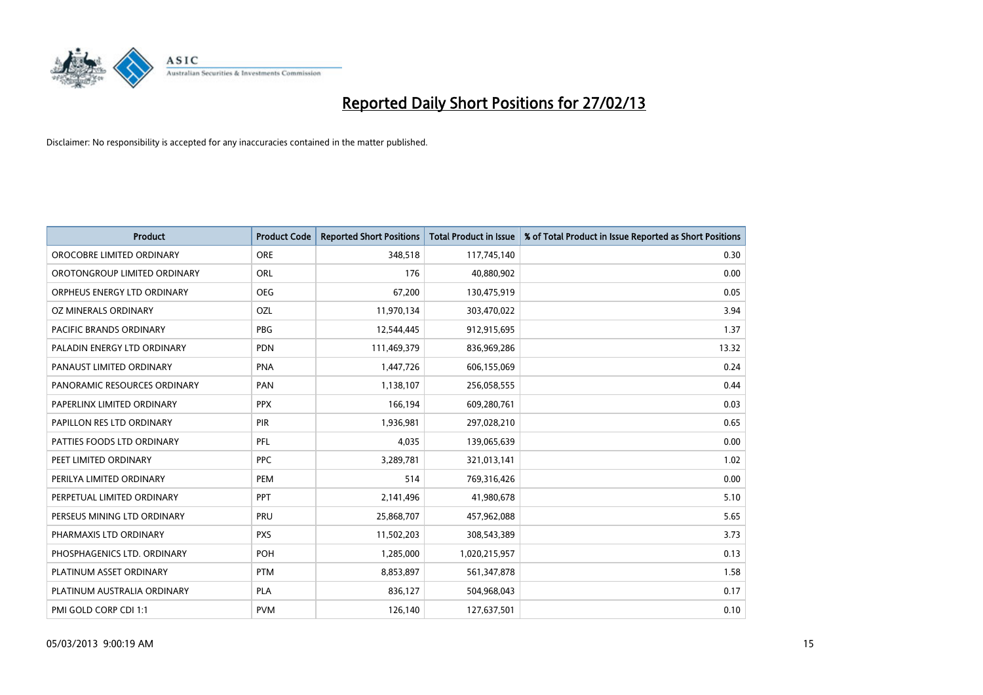

| <b>Product</b>               | <b>Product Code</b> | <b>Reported Short Positions</b> | <b>Total Product in Issue</b> | % of Total Product in Issue Reported as Short Positions |
|------------------------------|---------------------|---------------------------------|-------------------------------|---------------------------------------------------------|
| OROCOBRE LIMITED ORDINARY    | <b>ORE</b>          | 348,518                         | 117,745,140                   | 0.30                                                    |
| OROTONGROUP LIMITED ORDINARY | ORL                 | 176                             | 40,880,902                    | 0.00                                                    |
| ORPHEUS ENERGY LTD ORDINARY  | <b>OEG</b>          | 67,200                          | 130,475,919                   | 0.05                                                    |
| OZ MINERALS ORDINARY         | OZL                 | 11,970,134                      | 303,470,022                   | 3.94                                                    |
| PACIFIC BRANDS ORDINARY      | <b>PBG</b>          | 12,544,445                      | 912,915,695                   | 1.37                                                    |
| PALADIN ENERGY LTD ORDINARY  | <b>PDN</b>          | 111,469,379                     | 836,969,286                   | 13.32                                                   |
| PANAUST LIMITED ORDINARY     | <b>PNA</b>          | 1,447,726                       | 606,155,069                   | 0.24                                                    |
| PANORAMIC RESOURCES ORDINARY | PAN                 | 1,138,107                       | 256,058,555                   | 0.44                                                    |
| PAPERLINX LIMITED ORDINARY   | <b>PPX</b>          | 166,194                         | 609,280,761                   | 0.03                                                    |
| PAPILLON RES LTD ORDINARY    | <b>PIR</b>          | 1,936,981                       | 297,028,210                   | 0.65                                                    |
| PATTIES FOODS LTD ORDINARY   | PFL                 | 4,035                           | 139,065,639                   | 0.00                                                    |
| PEET LIMITED ORDINARY        | <b>PPC</b>          | 3,289,781                       | 321,013,141                   | 1.02                                                    |
| PERILYA LIMITED ORDINARY     | PEM                 | 514                             | 769,316,426                   | 0.00                                                    |
| PERPETUAL LIMITED ORDINARY   | PPT                 | 2,141,496                       | 41,980,678                    | 5.10                                                    |
| PERSEUS MINING LTD ORDINARY  | PRU                 | 25,868,707                      | 457,962,088                   | 5.65                                                    |
| PHARMAXIS LTD ORDINARY       | <b>PXS</b>          | 11,502,203                      | 308,543,389                   | 3.73                                                    |
| PHOSPHAGENICS LTD. ORDINARY  | POH                 | 1,285,000                       | 1,020,215,957                 | 0.13                                                    |
| PLATINUM ASSET ORDINARY      | <b>PTM</b>          | 8,853,897                       | 561,347,878                   | 1.58                                                    |
| PLATINUM AUSTRALIA ORDINARY  | <b>PLA</b>          | 836,127                         | 504,968,043                   | 0.17                                                    |
| PMI GOLD CORP CDI 1:1        | <b>PVM</b>          | 126,140                         | 127,637,501                   | 0.10                                                    |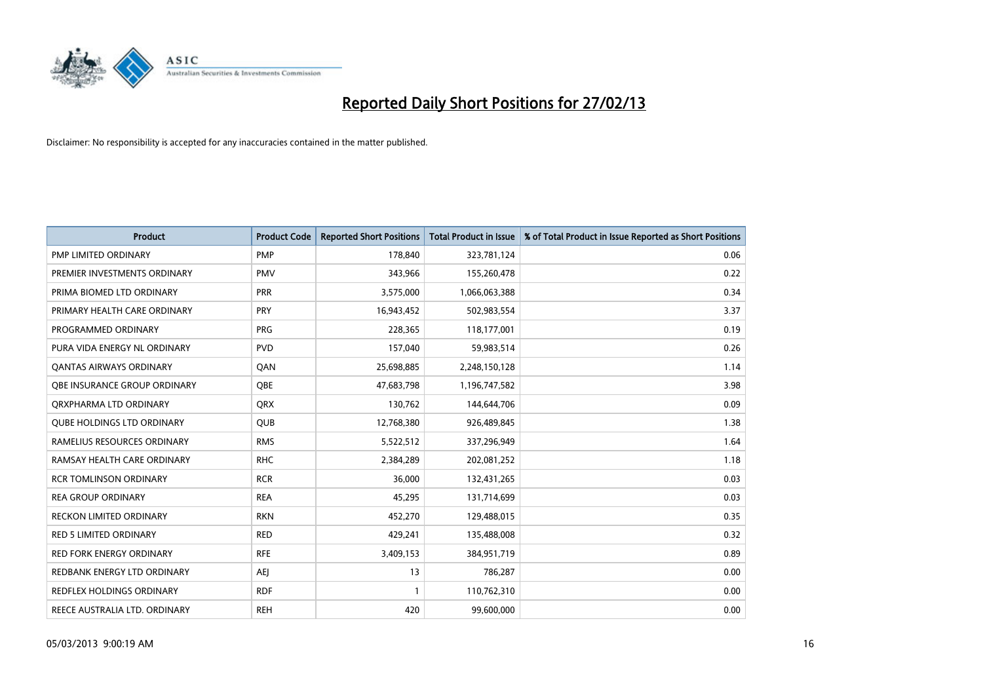

| <b>Product</b>                      | <b>Product Code</b> | <b>Reported Short Positions</b> | <b>Total Product in Issue</b> | % of Total Product in Issue Reported as Short Positions |
|-------------------------------------|---------------------|---------------------------------|-------------------------------|---------------------------------------------------------|
| <b>PMP LIMITED ORDINARY</b>         | <b>PMP</b>          | 178,840                         | 323,781,124                   | 0.06                                                    |
| PREMIER INVESTMENTS ORDINARY        | <b>PMV</b>          | 343,966                         | 155,260,478                   | 0.22                                                    |
| PRIMA BIOMED LTD ORDINARY           | PRR                 | 3,575,000                       | 1,066,063,388                 | 0.34                                                    |
| PRIMARY HEALTH CARE ORDINARY        | <b>PRY</b>          | 16,943,452                      | 502,983,554                   | 3.37                                                    |
| PROGRAMMED ORDINARY                 | <b>PRG</b>          | 228,365                         | 118,177,001                   | 0.19                                                    |
| PURA VIDA ENERGY NL ORDINARY        | <b>PVD</b>          | 157,040                         | 59,983,514                    | 0.26                                                    |
| <b>QANTAS AIRWAYS ORDINARY</b>      | QAN                 | 25,698,885                      | 2,248,150,128                 | 1.14                                                    |
| <b>OBE INSURANCE GROUP ORDINARY</b> | OBE                 | 47,683,798                      | 1,196,747,582                 | 3.98                                                    |
| ORXPHARMA LTD ORDINARY              | <b>ORX</b>          | 130,762                         | 144,644,706                   | 0.09                                                    |
| <b>QUBE HOLDINGS LTD ORDINARY</b>   | <b>QUB</b>          | 12,768,380                      | 926,489,845                   | 1.38                                                    |
| RAMELIUS RESOURCES ORDINARY         | <b>RMS</b>          | 5,522,512                       | 337,296,949                   | 1.64                                                    |
| RAMSAY HEALTH CARE ORDINARY         | <b>RHC</b>          | 2,384,289                       | 202,081,252                   | 1.18                                                    |
| <b>RCR TOMLINSON ORDINARY</b>       | <b>RCR</b>          | 36,000                          | 132,431,265                   | 0.03                                                    |
| <b>REA GROUP ORDINARY</b>           | <b>REA</b>          | 45,295                          | 131,714,699                   | 0.03                                                    |
| <b>RECKON LIMITED ORDINARY</b>      | <b>RKN</b>          | 452,270                         | 129,488,015                   | 0.35                                                    |
| RED 5 LIMITED ORDINARY              | <b>RED</b>          | 429,241                         | 135,488,008                   | 0.32                                                    |
| RED FORK ENERGY ORDINARY            | <b>RFE</b>          | 3,409,153                       | 384,951,719                   | 0.89                                                    |
| REDBANK ENERGY LTD ORDINARY         | AEJ                 | 13                              | 786,287                       | 0.00                                                    |
| <b>REDFLEX HOLDINGS ORDINARY</b>    | <b>RDF</b>          |                                 | 110,762,310                   | 0.00                                                    |
| REECE AUSTRALIA LTD. ORDINARY       | <b>REH</b>          | 420                             | 99,600,000                    | 0.00                                                    |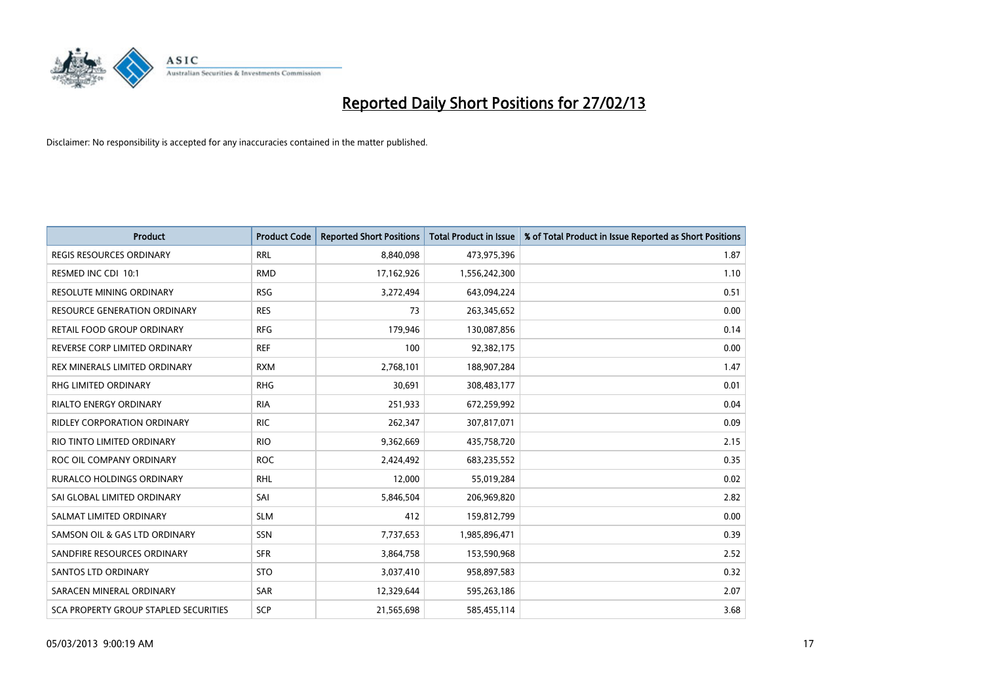

| <b>Product</b>                        | <b>Product Code</b> | <b>Reported Short Positions</b> | <b>Total Product in Issue</b> | % of Total Product in Issue Reported as Short Positions |
|---------------------------------------|---------------------|---------------------------------|-------------------------------|---------------------------------------------------------|
| <b>REGIS RESOURCES ORDINARY</b>       | <b>RRL</b>          | 8,840,098                       | 473,975,396                   | 1.87                                                    |
| RESMED INC CDI 10:1                   | <b>RMD</b>          | 17,162,926                      | 1,556,242,300                 | 1.10                                                    |
| <b>RESOLUTE MINING ORDINARY</b>       | <b>RSG</b>          | 3,272,494                       | 643,094,224                   | 0.51                                                    |
| RESOURCE GENERATION ORDINARY          | <b>RES</b>          | 73                              | 263,345,652                   | 0.00                                                    |
| RETAIL FOOD GROUP ORDINARY            | <b>RFG</b>          | 179,946                         | 130,087,856                   | 0.14                                                    |
| REVERSE CORP LIMITED ORDINARY         | <b>REF</b>          | 100                             | 92,382,175                    | 0.00                                                    |
| REX MINERALS LIMITED ORDINARY         | <b>RXM</b>          | 2,768,101                       | 188,907,284                   | 1.47                                                    |
| RHG LIMITED ORDINARY                  | <b>RHG</b>          | 30,691                          | 308,483,177                   | 0.01                                                    |
| <b>RIALTO ENERGY ORDINARY</b>         | <b>RIA</b>          | 251,933                         | 672,259,992                   | 0.04                                                    |
| <b>RIDLEY CORPORATION ORDINARY</b>    | <b>RIC</b>          | 262,347                         | 307,817,071                   | 0.09                                                    |
| RIO TINTO LIMITED ORDINARY            | <b>RIO</b>          | 9,362,669                       | 435,758,720                   | 2.15                                                    |
| ROC OIL COMPANY ORDINARY              | <b>ROC</b>          | 2,424,492                       | 683,235,552                   | 0.35                                                    |
| <b>RURALCO HOLDINGS ORDINARY</b>      | <b>RHL</b>          | 12,000                          | 55,019,284                    | 0.02                                                    |
| SAI GLOBAL LIMITED ORDINARY           | SAI                 | 5,846,504                       | 206,969,820                   | 2.82                                                    |
| SALMAT LIMITED ORDINARY               | <b>SLM</b>          | 412                             | 159,812,799                   | 0.00                                                    |
| SAMSON OIL & GAS LTD ORDINARY         | SSN                 | 7,737,653                       | 1,985,896,471                 | 0.39                                                    |
| SANDFIRE RESOURCES ORDINARY           | <b>SFR</b>          | 3,864,758                       | 153,590,968                   | 2.52                                                    |
| <b>SANTOS LTD ORDINARY</b>            | <b>STO</b>          | 3,037,410                       | 958,897,583                   | 0.32                                                    |
| SARACEN MINERAL ORDINARY              | SAR                 | 12,329,644                      | 595,263,186                   | 2.07                                                    |
| SCA PROPERTY GROUP STAPLED SECURITIES | <b>SCP</b>          | 21,565,698                      | 585,455,114                   | 3.68                                                    |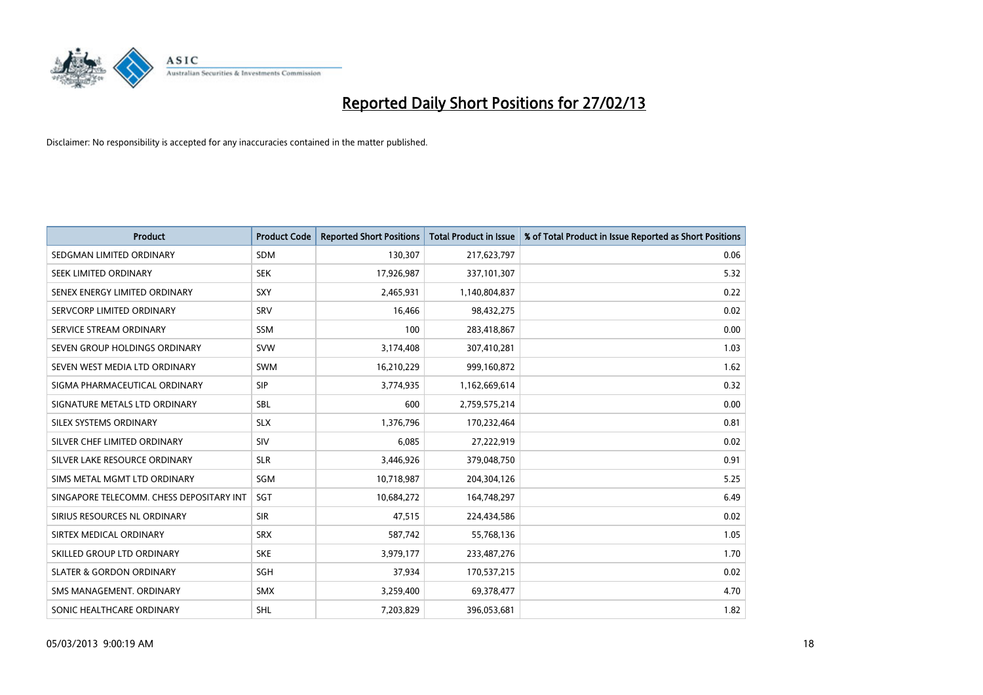

| <b>Product</b>                           | <b>Product Code</b> | <b>Reported Short Positions</b> | <b>Total Product in Issue</b> | % of Total Product in Issue Reported as Short Positions |
|------------------------------------------|---------------------|---------------------------------|-------------------------------|---------------------------------------------------------|
| SEDGMAN LIMITED ORDINARY                 | <b>SDM</b>          | 130,307                         | 217,623,797                   | 0.06                                                    |
| SEEK LIMITED ORDINARY                    | <b>SEK</b>          | 17,926,987                      | 337,101,307                   | 5.32                                                    |
| SENEX ENERGY LIMITED ORDINARY            | <b>SXY</b>          | 2,465,931                       | 1,140,804,837                 | 0.22                                                    |
| SERVCORP LIMITED ORDINARY                | SRV                 | 16,466                          | 98,432,275                    | 0.02                                                    |
| SERVICE STREAM ORDINARY                  | <b>SSM</b>          | 100                             | 283,418,867                   | 0.00                                                    |
| SEVEN GROUP HOLDINGS ORDINARY            | <b>SVW</b>          | 3,174,408                       | 307,410,281                   | 1.03                                                    |
| SEVEN WEST MEDIA LTD ORDINARY            | <b>SWM</b>          | 16,210,229                      | 999,160,872                   | 1.62                                                    |
| SIGMA PHARMACEUTICAL ORDINARY            | <b>SIP</b>          | 3,774,935                       | 1,162,669,614                 | 0.32                                                    |
| SIGNATURE METALS LTD ORDINARY            | <b>SBL</b>          | 600                             | 2,759,575,214                 | 0.00                                                    |
| SILEX SYSTEMS ORDINARY                   | <b>SLX</b>          | 1,376,796                       | 170,232,464                   | 0.81                                                    |
| SILVER CHEF LIMITED ORDINARY             | <b>SIV</b>          | 6,085                           | 27,222,919                    | 0.02                                                    |
| SILVER LAKE RESOURCE ORDINARY            | <b>SLR</b>          | 3,446,926                       | 379,048,750                   | 0.91                                                    |
| SIMS METAL MGMT LTD ORDINARY             | SGM                 | 10,718,987                      | 204,304,126                   | 5.25                                                    |
| SINGAPORE TELECOMM. CHESS DEPOSITARY INT | SGT                 | 10,684,272                      | 164,748,297                   | 6.49                                                    |
| SIRIUS RESOURCES NL ORDINARY             | <b>SIR</b>          | 47,515                          | 224,434,586                   | 0.02                                                    |
| SIRTEX MEDICAL ORDINARY                  | <b>SRX</b>          | 587,742                         | 55,768,136                    | 1.05                                                    |
| SKILLED GROUP LTD ORDINARY               | <b>SKE</b>          | 3,979,177                       | 233,487,276                   | 1.70                                                    |
| <b>SLATER &amp; GORDON ORDINARY</b>      | <b>SGH</b>          | 37,934                          | 170,537,215                   | 0.02                                                    |
| SMS MANAGEMENT, ORDINARY                 | <b>SMX</b>          | 3,259,400                       | 69,378,477                    | 4.70                                                    |
| SONIC HEALTHCARE ORDINARY                | <b>SHL</b>          | 7.203.829                       | 396,053,681                   | 1.82                                                    |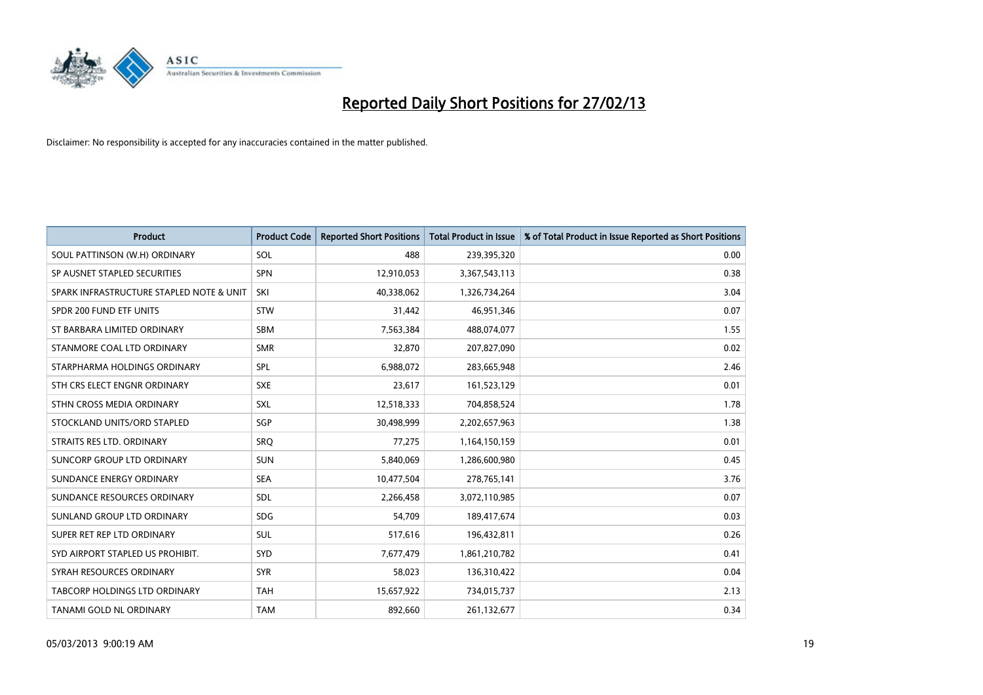

| <b>Product</b>                           | <b>Product Code</b> | <b>Reported Short Positions</b> | <b>Total Product in Issue</b> | % of Total Product in Issue Reported as Short Positions |
|------------------------------------------|---------------------|---------------------------------|-------------------------------|---------------------------------------------------------|
| SOUL PATTINSON (W.H) ORDINARY            | SOL                 | 488                             | 239,395,320                   | 0.00                                                    |
| SP AUSNET STAPLED SECURITIES             | <b>SPN</b>          | 12,910,053                      | 3,367,543,113                 | 0.38                                                    |
| SPARK INFRASTRUCTURE STAPLED NOTE & UNIT | SKI                 | 40,338,062                      | 1,326,734,264                 | 3.04                                                    |
| SPDR 200 FUND ETF UNITS                  | <b>STW</b>          | 31,442                          | 46,951,346                    | 0.07                                                    |
| ST BARBARA LIMITED ORDINARY              | SBM                 | 7,563,384                       | 488,074,077                   | 1.55                                                    |
| STANMORE COAL LTD ORDINARY               | <b>SMR</b>          | 32,870                          | 207,827,090                   | 0.02                                                    |
| STARPHARMA HOLDINGS ORDINARY             | <b>SPL</b>          | 6,988,072                       | 283,665,948                   | 2.46                                                    |
| STH CRS ELECT ENGNR ORDINARY             | <b>SXE</b>          | 23,617                          | 161,523,129                   | 0.01                                                    |
| STHN CROSS MEDIA ORDINARY                | <b>SXL</b>          | 12,518,333                      | 704,858,524                   | 1.78                                                    |
| STOCKLAND UNITS/ORD STAPLED              | SGP                 | 30,498,999                      | 2,202,657,963                 | 1.38                                                    |
| STRAITS RES LTD. ORDINARY                | SRO                 | 77,275                          | 1,164,150,159                 | 0.01                                                    |
| SUNCORP GROUP LTD ORDINARY               | <b>SUN</b>          | 5,840,069                       | 1,286,600,980                 | 0.45                                                    |
| SUNDANCE ENERGY ORDINARY                 | <b>SEA</b>          | 10,477,504                      | 278,765,141                   | 3.76                                                    |
| SUNDANCE RESOURCES ORDINARY              | <b>SDL</b>          | 2,266,458                       | 3,072,110,985                 | 0.07                                                    |
| SUNLAND GROUP LTD ORDINARY               | <b>SDG</b>          | 54,709                          | 189,417,674                   | 0.03                                                    |
| SUPER RET REP LTD ORDINARY               | <b>SUL</b>          | 517,616                         | 196,432,811                   | 0.26                                                    |
| SYD AIRPORT STAPLED US PROHIBIT.         | <b>SYD</b>          | 7,677,479                       | 1,861,210,782                 | 0.41                                                    |
| SYRAH RESOURCES ORDINARY                 | <b>SYR</b>          | 58,023                          | 136,310,422                   | 0.04                                                    |
| TABCORP HOLDINGS LTD ORDINARY            | <b>TAH</b>          | 15,657,922                      | 734,015,737                   | 2.13                                                    |
| TANAMI GOLD NL ORDINARY                  | <b>TAM</b>          | 892,660                         | 261,132,677                   | 0.34                                                    |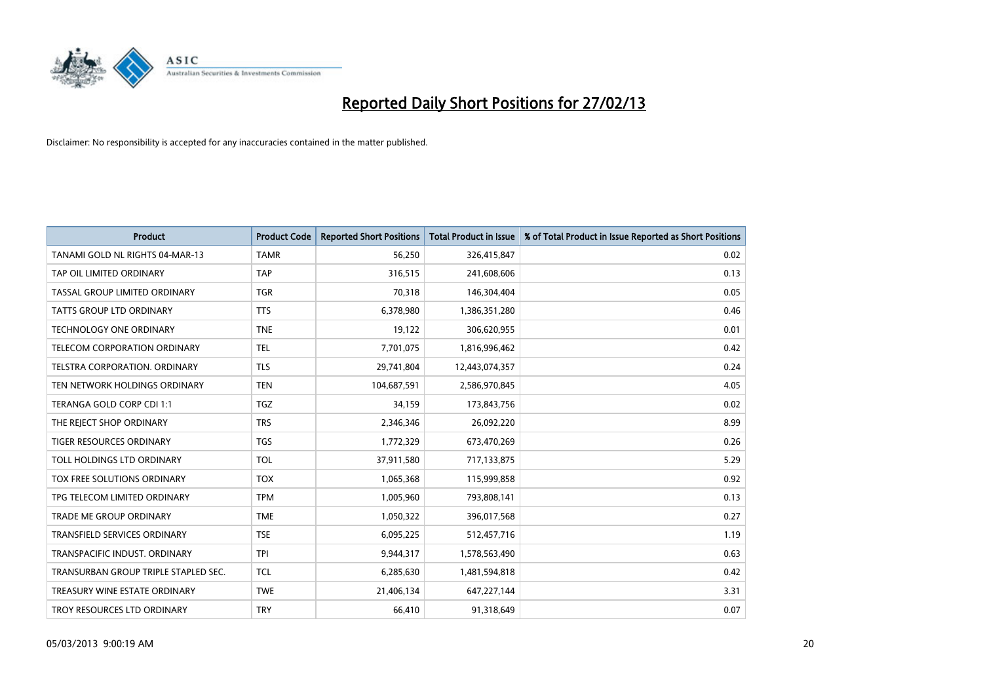

| <b>Product</b>                       | <b>Product Code</b> | <b>Reported Short Positions</b> | <b>Total Product in Issue</b> | % of Total Product in Issue Reported as Short Positions |
|--------------------------------------|---------------------|---------------------------------|-------------------------------|---------------------------------------------------------|
| TANAMI GOLD NL RIGHTS 04-MAR-13      | <b>TAMR</b>         | 56,250                          | 326,415,847                   | 0.02                                                    |
| TAP OIL LIMITED ORDINARY             | <b>TAP</b>          | 316,515                         | 241,608,606                   | 0.13                                                    |
| TASSAL GROUP LIMITED ORDINARY        | <b>TGR</b>          | 70,318                          | 146,304,404                   | 0.05                                                    |
| TATTS GROUP LTD ORDINARY             | <b>TTS</b>          | 6,378,980                       | 1,386,351,280                 | 0.46                                                    |
| <b>TECHNOLOGY ONE ORDINARY</b>       | <b>TNE</b>          | 19,122                          | 306,620,955                   | 0.01                                                    |
| <b>TELECOM CORPORATION ORDINARY</b>  | <b>TEL</b>          | 7,701,075                       | 1,816,996,462                 | 0.42                                                    |
| TELSTRA CORPORATION, ORDINARY        | <b>TLS</b>          | 29,741,804                      | 12,443,074,357                | 0.24                                                    |
| TEN NETWORK HOLDINGS ORDINARY        | <b>TEN</b>          | 104,687,591                     | 2,586,970,845                 | 4.05                                                    |
| TERANGA GOLD CORP CDI 1:1            | <b>TGZ</b>          | 34,159                          | 173,843,756                   | 0.02                                                    |
| THE REJECT SHOP ORDINARY             | <b>TRS</b>          | 2,346,346                       | 26,092,220                    | 8.99                                                    |
| TIGER RESOURCES ORDINARY             | <b>TGS</b>          | 1,772,329                       | 673,470,269                   | 0.26                                                    |
| <b>TOLL HOLDINGS LTD ORDINARY</b>    | <b>TOL</b>          | 37,911,580                      | 717,133,875                   | 5.29                                                    |
| TOX FREE SOLUTIONS ORDINARY          | <b>TOX</b>          | 1,065,368                       | 115,999,858                   | 0.92                                                    |
| TPG TELECOM LIMITED ORDINARY         | <b>TPM</b>          | 1,005,960                       | 793,808,141                   | 0.13                                                    |
| <b>TRADE ME GROUP ORDINARY</b>       | <b>TME</b>          | 1,050,322                       | 396,017,568                   | 0.27                                                    |
| TRANSFIELD SERVICES ORDINARY         | <b>TSE</b>          | 6,095,225                       | 512,457,716                   | 1.19                                                    |
| TRANSPACIFIC INDUST. ORDINARY        | <b>TPI</b>          | 9,944,317                       | 1,578,563,490                 | 0.63                                                    |
| TRANSURBAN GROUP TRIPLE STAPLED SEC. | <b>TCL</b>          | 6,285,630                       | 1,481,594,818                 | 0.42                                                    |
| TREASURY WINE ESTATE ORDINARY        | <b>TWE</b>          | 21,406,134                      | 647,227,144                   | 3.31                                                    |
| TROY RESOURCES LTD ORDINARY          | <b>TRY</b>          | 66,410                          | 91,318,649                    | 0.07                                                    |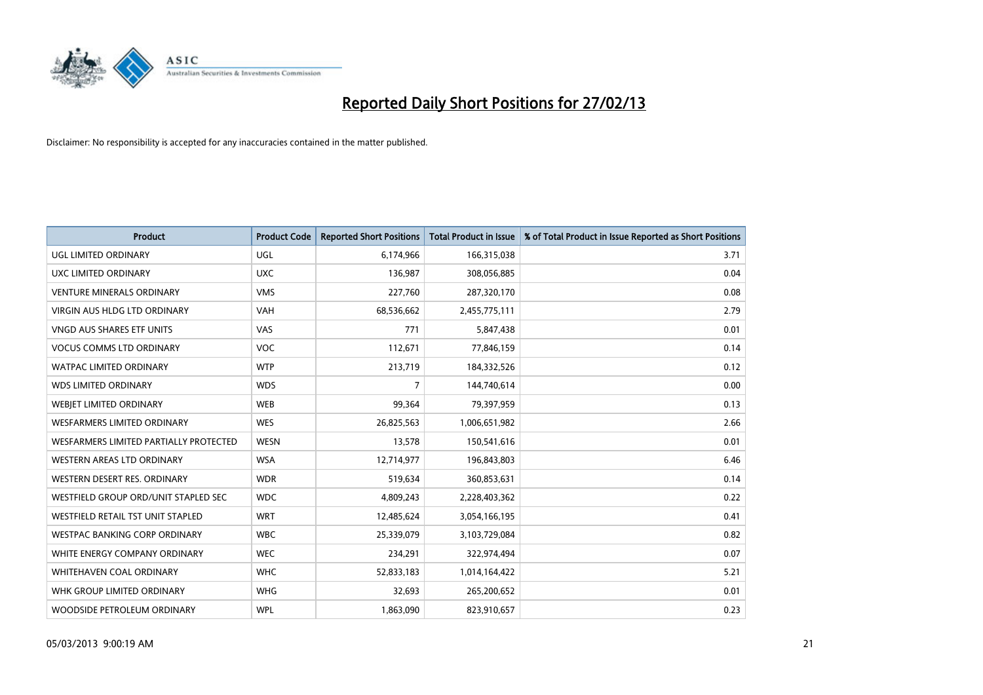

| <b>Product</b>                         | <b>Product Code</b> | <b>Reported Short Positions</b> | <b>Total Product in Issue</b> | % of Total Product in Issue Reported as Short Positions |
|----------------------------------------|---------------------|---------------------------------|-------------------------------|---------------------------------------------------------|
| UGL LIMITED ORDINARY                   | <b>UGL</b>          | 6,174,966                       | 166,315,038                   | 3.71                                                    |
| UXC LIMITED ORDINARY                   | <b>UXC</b>          | 136,987                         | 308,056,885                   | 0.04                                                    |
| <b>VENTURE MINERALS ORDINARY</b>       | <b>VMS</b>          | 227,760                         | 287,320,170                   | 0.08                                                    |
| <b>VIRGIN AUS HLDG LTD ORDINARY</b>    | <b>VAH</b>          | 68,536,662                      | 2,455,775,111                 | 2.79                                                    |
| <b>VNGD AUS SHARES ETF UNITS</b>       | <b>VAS</b>          | 771                             | 5,847,438                     | 0.01                                                    |
| <b>VOCUS COMMS LTD ORDINARY</b>        | <b>VOC</b>          | 112,671                         | 77,846,159                    | 0.14                                                    |
| <b>WATPAC LIMITED ORDINARY</b>         | <b>WTP</b>          | 213,719                         | 184,332,526                   | 0.12                                                    |
| <b>WDS LIMITED ORDINARY</b>            | <b>WDS</b>          | 7                               | 144,740,614                   | 0.00                                                    |
| WEBJET LIMITED ORDINARY                | <b>WEB</b>          | 99,364                          | 79,397,959                    | 0.13                                                    |
| <b>WESFARMERS LIMITED ORDINARY</b>     | <b>WES</b>          | 26,825,563                      | 1,006,651,982                 | 2.66                                                    |
| WESFARMERS LIMITED PARTIALLY PROTECTED | <b>WESN</b>         | 13,578                          | 150,541,616                   | 0.01                                                    |
| <b>WESTERN AREAS LTD ORDINARY</b>      | <b>WSA</b>          | 12,714,977                      | 196,843,803                   | 6.46                                                    |
| WESTERN DESERT RES. ORDINARY           | <b>WDR</b>          | 519,634                         | 360,853,631                   | 0.14                                                    |
| WESTFIELD GROUP ORD/UNIT STAPLED SEC   | <b>WDC</b>          | 4,809,243                       | 2,228,403,362                 | 0.22                                                    |
| WESTFIELD RETAIL TST UNIT STAPLED      | <b>WRT</b>          | 12,485,624                      | 3,054,166,195                 | 0.41                                                    |
| <b>WESTPAC BANKING CORP ORDINARY</b>   | <b>WBC</b>          | 25,339,079                      | 3,103,729,084                 | 0.82                                                    |
| WHITE ENERGY COMPANY ORDINARY          | <b>WEC</b>          | 234,291                         | 322,974,494                   | 0.07                                                    |
| <b>WHITEHAVEN COAL ORDINARY</b>        | <b>WHC</b>          | 52,833,183                      | 1,014,164,422                 | 5.21                                                    |
| WHK GROUP LIMITED ORDINARY             | <b>WHG</b>          | 32,693                          | 265,200,652                   | 0.01                                                    |
| WOODSIDE PETROLEUM ORDINARY            | <b>WPL</b>          | 1,863,090                       | 823,910,657                   | 0.23                                                    |